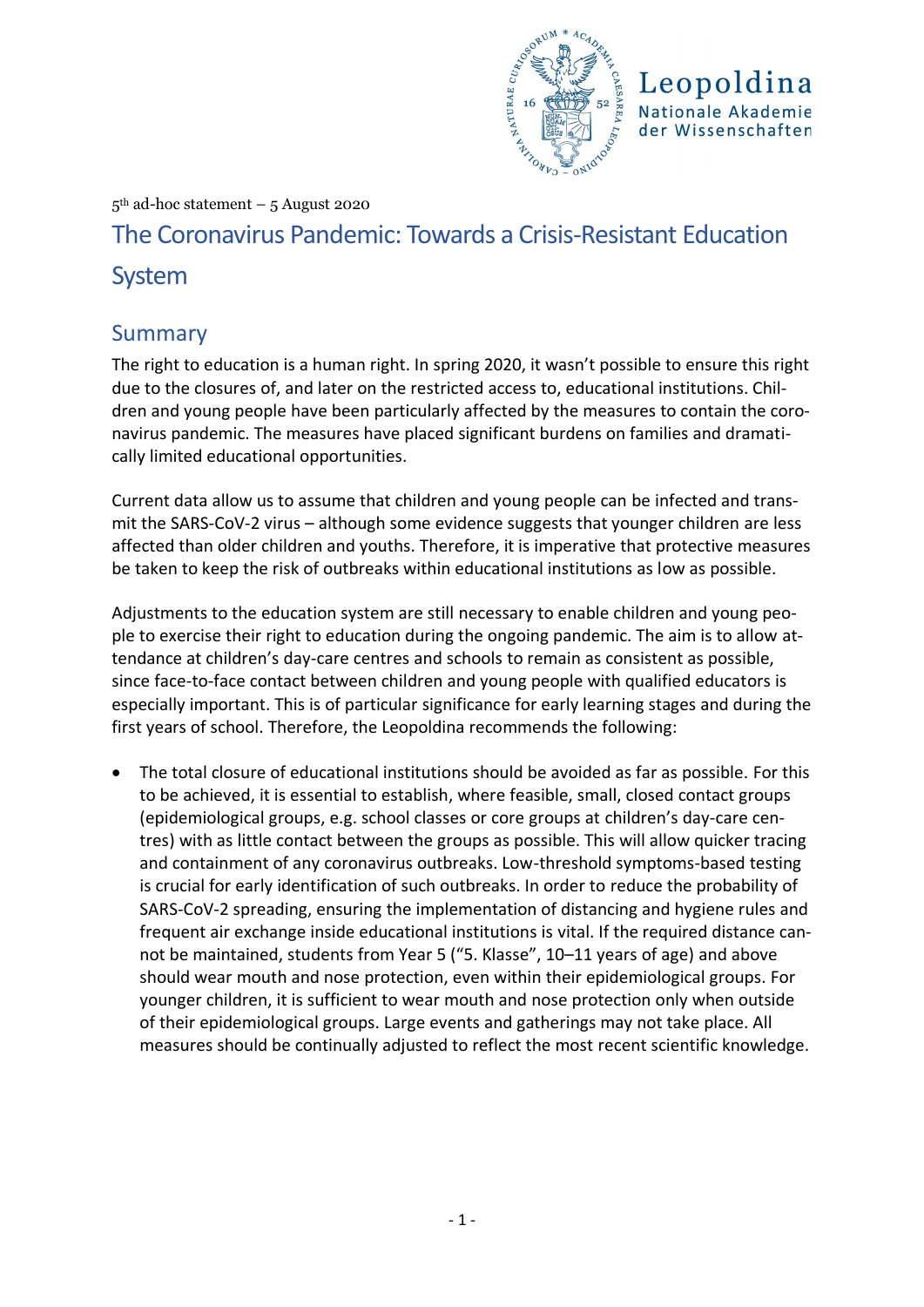

Leopoldina Nationale Akademie der Wissenschaften

#### 5th ad-hoc statement – 5 August 2020

# The Coronavirus Pandemic: Towards a Crisis-Resistant Education System

### Summary

The right to education is a human right. In spring 2020, it wasn't possible to ensure this right due to the closures of, and later on the restricted access to, educational institutions. Children and young people have been particularly affected by the measures to contain the coronavirus pandemic. The measures have placed significant burdens on families and dramatically limited educational opportunities.

Current data allow us to assume that children and young people can be infected and transmit the SARS-CoV-2 virus – although some evidence suggests that younger children are less affected than older children and youths. Therefore, it is imperative that protective measures be taken to keep the risk of outbreaks within educational institutions as low as possible.

Adjustments to the education system are still necessary to enable children and young people to exercise their right to education during the ongoing pandemic. The aim is to allow attendance at children's day-care centres and schools to remain as consistent as possible, since face-to-face contact between children and young people with qualified educators is especially important. This is of particular significance for early learning stages and during the first years of school. Therefore, the Leopoldina recommends the following:

The total closure of educational institutions should be avoided as far as possible. For this to be achieved, it is essential to establish, where feasible, small, closed contact groups (epidemiological groups, e.g. school classes or core groups at children's day-care centres) with as little contact between the groups as possible. This will allow quicker tracing and containment of any coronavirus outbreaks. Low-threshold symptoms-based testing is crucial for early identification of such outbreaks. In order to reduce the probability of SARS-CoV-2 spreading, ensuring the implementation of distancing and hygiene rules and frequent air exchange inside educational institutions is vital. If the required distance cannot be maintained, students from Year 5 ("5. Klasse", 10–11 years of age) and above should wear mouth and nose protection, even within their epidemiological groups. For younger children, it is sufficient to wear mouth and nose protection only when outside of their epidemiological groups. Large events and gatherings may not take place. All measures should be continually adjusted to reflect the most recent scientific knowledge.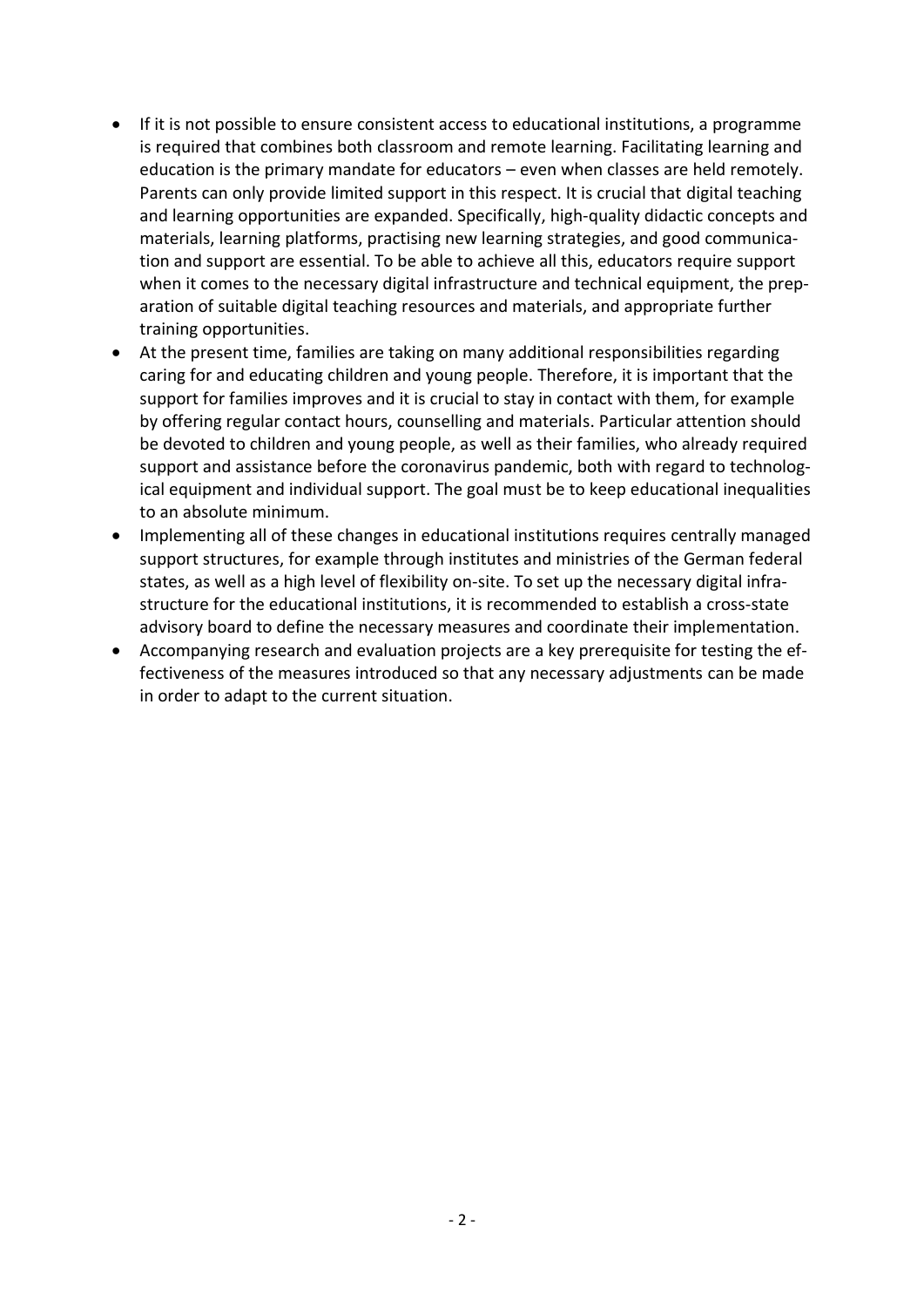- If it is not possible to ensure consistent access to educational institutions, a programme is required that combines both classroom and remote learning. Facilitating learning and education is the primary mandate for educators – even when classes are held remotely. Parents can only provide limited support in this respect. It is crucial that digital teaching and learning opportunities are expanded. Specifically, high-quality didactic concepts and materials, learning platforms, practising new learning strategies, and good communication and support are essential. To be able to achieve all this, educators require support when it comes to the necessary digital infrastructure and technical equipment, the preparation of suitable digital teaching resources and materials, and appropriate further training opportunities.
- At the present time, families are taking on many additional responsibilities regarding caring for and educating children and young people. Therefore, it is important that the support for families improves and it is crucial to stay in contact with them, for example by offering regular contact hours, counselling and materials. Particular attention should be devoted to children and young people, as well as their families, who already required support and assistance before the coronavirus pandemic, both with regard to technological equipment and individual support. The goal must be to keep educational inequalities to an absolute minimum.
- Implementing all of these changes in educational institutions requires centrally managed support structures, for example through institutes and ministries of the German federal states, as well as a high level of flexibility on-site. To set up the necessary digital infrastructure for the educational institutions, it is recommended to establish a cross-state advisory board to define the necessary measures and coordinate their implementation.
- Accompanying research and evaluation projects are a key prerequisite for testing the effectiveness of the measures introduced so that any necessary adjustments can be made in order to adapt to the current situation.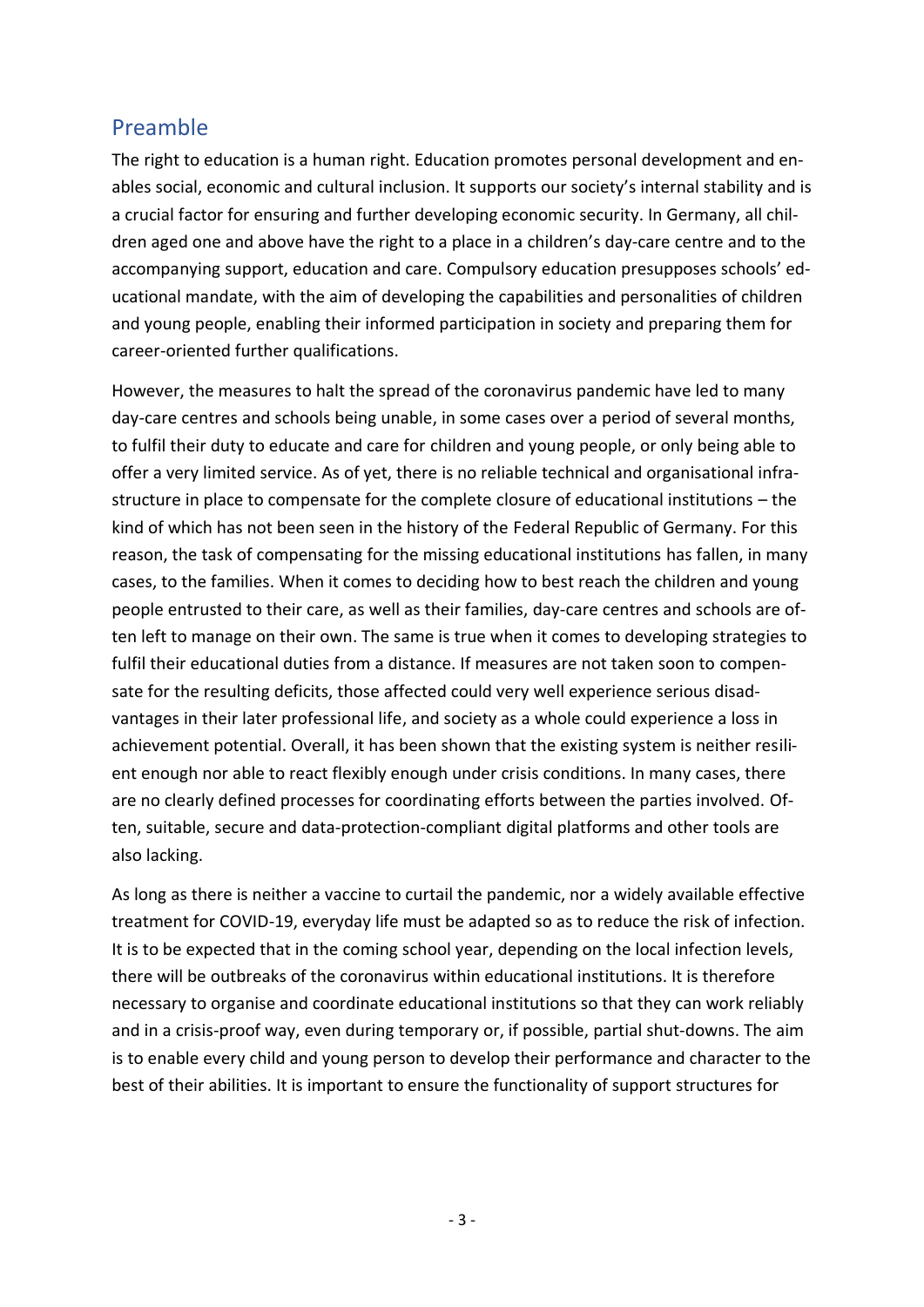## Preamble

The right to education is a human right. Education promotes personal development and enables social, economic and cultural inclusion. It supports our society's internal stability and is a crucial factor for ensuring and further developing economic security. In Germany, all children aged one and above have the right to a place in a children's day-care centre and to the accompanying support, education and care. Compulsory education presupposes schools' educational mandate, with the aim of developing the capabilities and personalities of children and young people, enabling their informed participation in society and preparing them for career-oriented further qualifications.

However, the measures to halt the spread of the coronavirus pandemic have led to many day-care centres and schools being unable, in some cases over a period of several months, to fulfil their duty to educate and care for children and young people, or only being able to offer a very limited service. As of yet, there is no reliable technical and organisational infrastructure in place to compensate for the complete closure of educational institutions – the kind of which has not been seen in the history of the Federal Republic of Germany. For this reason, the task of compensating for the missing educational institutions has fallen, in many cases, to the families. When it comes to deciding how to best reach the children and young people entrusted to their care, as well as their families, day-care centres and schools are often left to manage on their own. The same is true when it comes to developing strategies to fulfil their educational duties from a distance. If measures are not taken soon to compensate for the resulting deficits, those affected could very well experience serious disadvantages in their later professional life, and society as a whole could experience a loss in achievement potential. Overall, it has been shown that the existing system is neither resilient enough nor able to react flexibly enough under crisis conditions. In many cases, there are no clearly defined processes for coordinating efforts between the parties involved. Often, suitable, secure and data-protection-compliant digital platforms and other tools are also lacking.

As long as there is neither a vaccine to curtail the pandemic, nor a widely available effective treatment for COVID-19, everyday life must be adapted so as to reduce the risk of infection. It is to be expected that in the coming school year, depending on the local infection levels, there will be outbreaks of the coronavirus within educational institutions. It is therefore necessary to organise and coordinate educational institutions so that they can work reliably and in a crisis-proof way, even during temporary or, if possible, partial shut-downs. The aim is to enable every child and young person to develop their performance and character to the best of their abilities. It is important to ensure the functionality of support structures for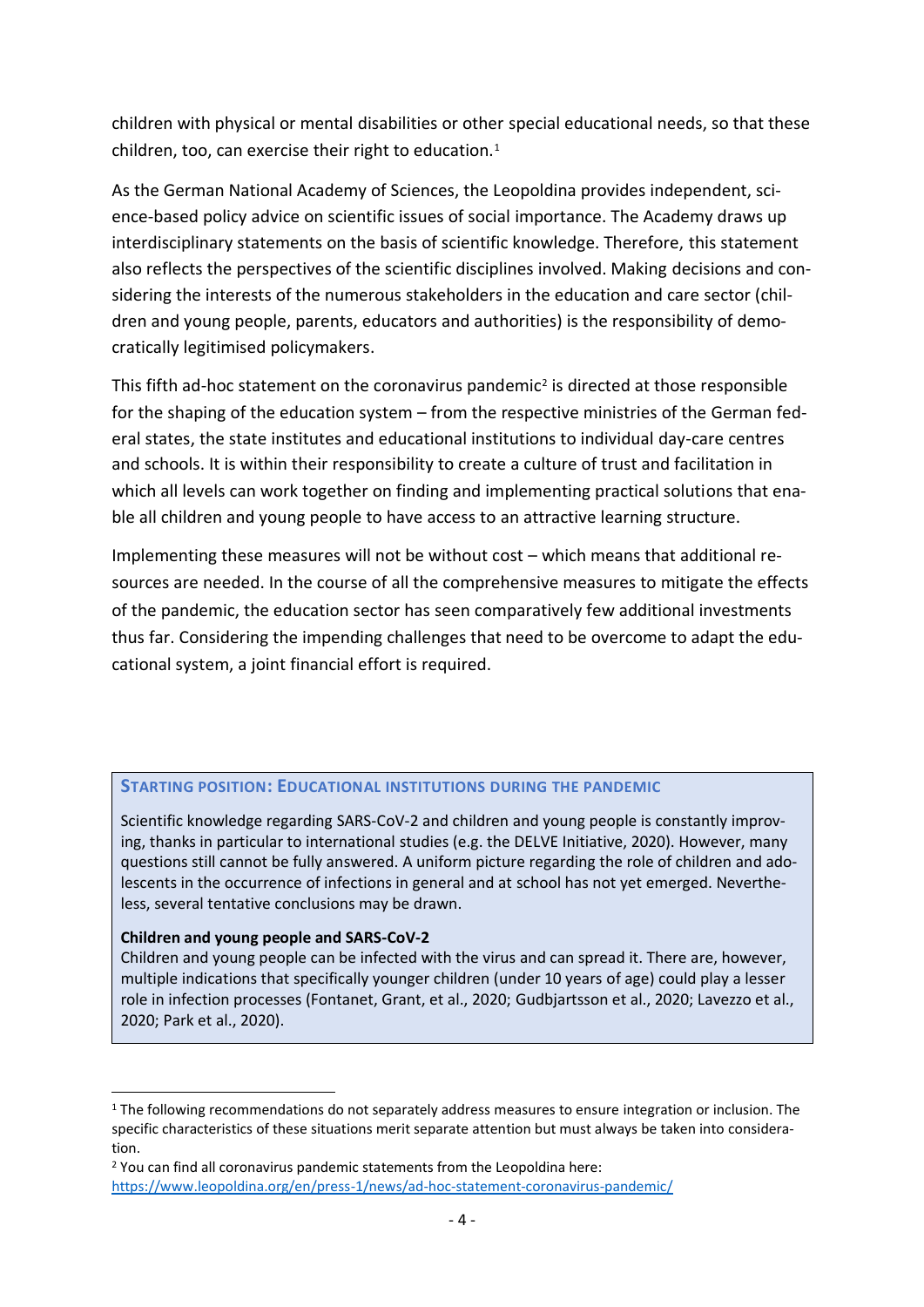children with physical or mental disabilities or other special educational needs, so that these children, too, can exercise their right to education. $1$ 

As the German National Academy of Sciences, the Leopoldina provides independent, science-based policy advice on scientific issues of social importance. The Academy draws up interdisciplinary statements on the basis of scientific knowledge. Therefore, this statement also reflects the perspectives of the scientific disciplines involved. Making decisions and considering the interests of the numerous stakeholders in the education and care sector (children and young people, parents, educators and authorities) is the responsibility of democratically legitimised policymakers.

This fifth ad-hoc statement on the coronavirus pandemic<sup>2</sup> is directed at those responsible for the shaping of the education system – from the respective ministries of the German federal states, the state institutes and educational institutions to individual day-care centres and schools. It is within their responsibility to create a culture of trust and facilitation in which all levels can work together on finding and implementing practical solutions that enable all children and young people to have access to an attractive learning structure.

Implementing these measures will not be without cost – which means that additional resources are needed. In the course of all the comprehensive measures to mitigate the effects of the pandemic, the education sector has seen comparatively few additional investments thus far. Considering the impending challenges that need to be overcome to adapt the educational system, a joint financial effort is required.

#### **STARTING POSITION: EDUCATIONAL INSTITUTIONS DURING THE PANDEMIC**

Scientific knowledge regarding SARS-CoV-2 and children and young people is constantly improving, thanks in particular to international studies (e.g. the DELVE Initiative, 2020). However, many questions still cannot be fully answered. A uniform picture regarding the role of children and adolescents in the occurrence of infections in general and at school has not yet emerged. Nevertheless, several tentative conclusions may be drawn.

#### **Children and young people and SARS-CoV-2**

Children and young people can be infected with the virus and can spread it. There are, however, multiple indications that specifically younger children (under 10 years of age) could play a lesser role in infection processes (Fontanet, Grant, et al., 2020; Gudbjartsson et al., 2020; Lavezzo et al., 2020; Park et al., 2020).

<sup>&</sup>lt;sup>1</sup> The following recommendations do not separately address measures to ensure integration or inclusion. The specific characteristics of these situations merit separate attention but must always be taken into consideration.

<sup>&</sup>lt;sup>2</sup> You can find all coronavirus pandemic statements from the Leopoldina here: <https://www.leopoldina.org/en/press-1/news/ad-hoc-statement-coronavirus-pandemic/>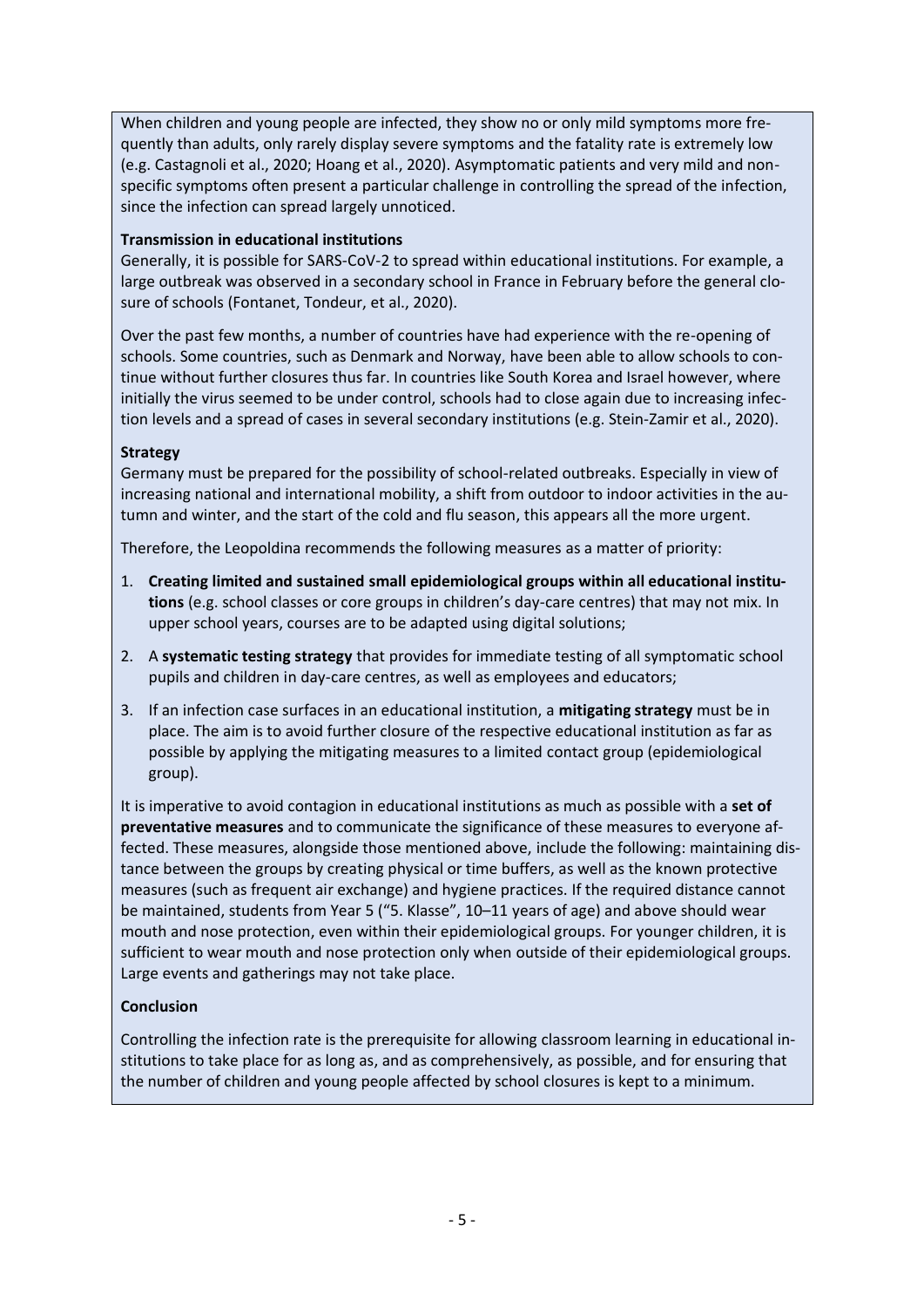When children and young people are infected, they show no or only mild symptoms more frequently than adults, only rarely display severe symptoms and the fatality rate is extremely low (e.g. Castagnoli et al., 2020; Hoang et al., 2020). Asymptomatic patients and very mild and nonspecific symptoms often present a particular challenge in controlling the spread of the infection, since the infection can spread largely unnoticed.

#### **Transmission in educational institutions**

Generally, it is possible for SARS-CoV-2 to spread within educational institutions. For example, a large outbreak was observed in a secondary school in France in February before the general closure of schools (Fontanet, Tondeur, et al., 2020).

Over the past few months, a number of countries have had experience with the re-opening of schools. Some countries, such as Denmark and Norway, have been able to allow schools to continue without further closures thus far. In countries like South Korea and Israel however, where initially the virus seemed to be under control, schools had to close again due to increasing infection levels and a spread of cases in several secondary institutions (e.g. Stein-Zamir et al., 2020).

#### **Strategy**

Germany must be prepared for the possibility of school-related outbreaks. Especially in view of increasing national and international mobility, a shift from outdoor to indoor activities in the autumn and winter, and the start of the cold and flu season, this appears all the more urgent.

Therefore, the Leopoldina recommends the following measures as a matter of priority:

- 1. **Creating limited and sustained small epidemiological groups within all educational institutions** (e.g. school classes or core groups in children's day-care centres) that may not mix. In upper school years, courses are to be adapted using digital solutions;
- 2. A **systematic testing strategy** that provides for immediate testing of all symptomatic school pupils and children in day-care centres, as well as employees and educators;
- 3. If an infection case surfaces in an educational institution, a **mitigating strategy** must be in place. The aim is to avoid further closure of the respective educational institution as far as possible by applying the mitigating measures to a limited contact group (epidemiological group).

It is imperative to avoid contagion in educational institutions as much as possible with a **set of preventative measures** and to communicate the significance of these measures to everyone affected. These measures, alongside those mentioned above, include the following: maintaining distance between the groups by creating physical or time buffers, as well as the known protective measures (such as frequent air exchange) and hygiene practices. If the required distance cannot be maintained, students from Year 5 ("5. Klasse", 10–11 years of age) and above should wear mouth and nose protection, even within their epidemiological groups. For younger children, it is sufficient to wear mouth and nose protection only when outside of their epidemiological groups. Large events and gatherings may not take place.

#### **Conclusion**

Controlling the infection rate is the prerequisite for allowing classroom learning in educational institutions to take place for as long as, and as comprehensively, as possible, and for ensuring that the number of children and young people affected by school closures is kept to a minimum.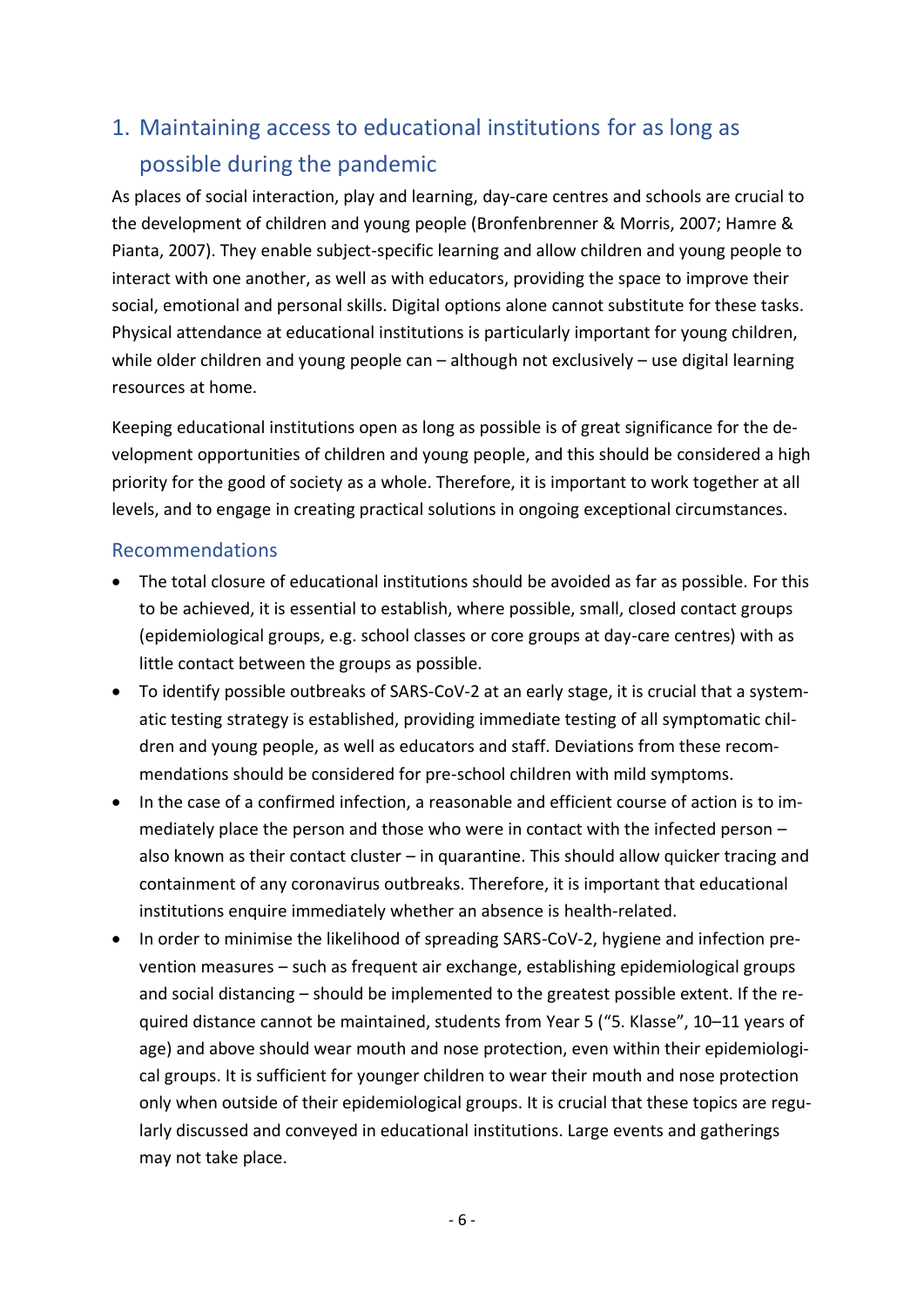# 1. Maintaining access to educational institutions for as long as possible during the pandemic

As places of social interaction, play and learning, day-care centres and schools are crucial to the development of children and young people (Bronfenbrenner & Morris, 2007; Hamre & Pianta, 2007). They enable subject-specific learning and allow children and young people to interact with one another, as well as with educators, providing the space to improve their social, emotional and personal skills. Digital options alone cannot substitute for these tasks. Physical attendance at educational institutions is particularly important for young children, while older children and young people can – although not exclusively – use digital learning resources at home.

Keeping educational institutions open as long as possible is of great significance for the development opportunities of children and young people, and this should be considered a high priority for the good of society as a whole. Therefore, it is important to work together at all levels, and to engage in creating practical solutions in ongoing exceptional circumstances.

- The total closure of educational institutions should be avoided as far as possible. For this to be achieved, it is essential to establish, where possible, small, closed contact groups (epidemiological groups, e.g. school classes or core groups at day-care centres) with as little contact between the groups as possible.
- To identify possible outbreaks of SARS-CoV-2 at an early stage, it is crucial that a systematic testing strategy is established, providing immediate testing of all symptomatic children and young people, as well as educators and staff. Deviations from these recommendations should be considered for pre-school children with mild symptoms.
- In the case of a confirmed infection, a reasonable and efficient course of action is to immediately place the person and those who were in contact with the infected person – also known as their contact cluster – in quarantine. This should allow quicker tracing and containment of any coronavirus outbreaks. Therefore, it is important that educational institutions enquire immediately whether an absence is health-related.
- In order to minimise the likelihood of spreading SARS-CoV-2, hygiene and infection prevention measures – such as frequent air exchange, establishing epidemiological groups and social distancing – should be implemented to the greatest possible extent. If the required distance cannot be maintained, students from Year 5 ("5. Klasse", 10–11 years of age) and above should wear mouth and nose protection, even within their epidemiological groups. It is sufficient for younger children to wear their mouth and nose protection only when outside of their epidemiological groups. It is crucial that these topics are regularly discussed and conveyed in educational institutions. Large events and gatherings may not take place.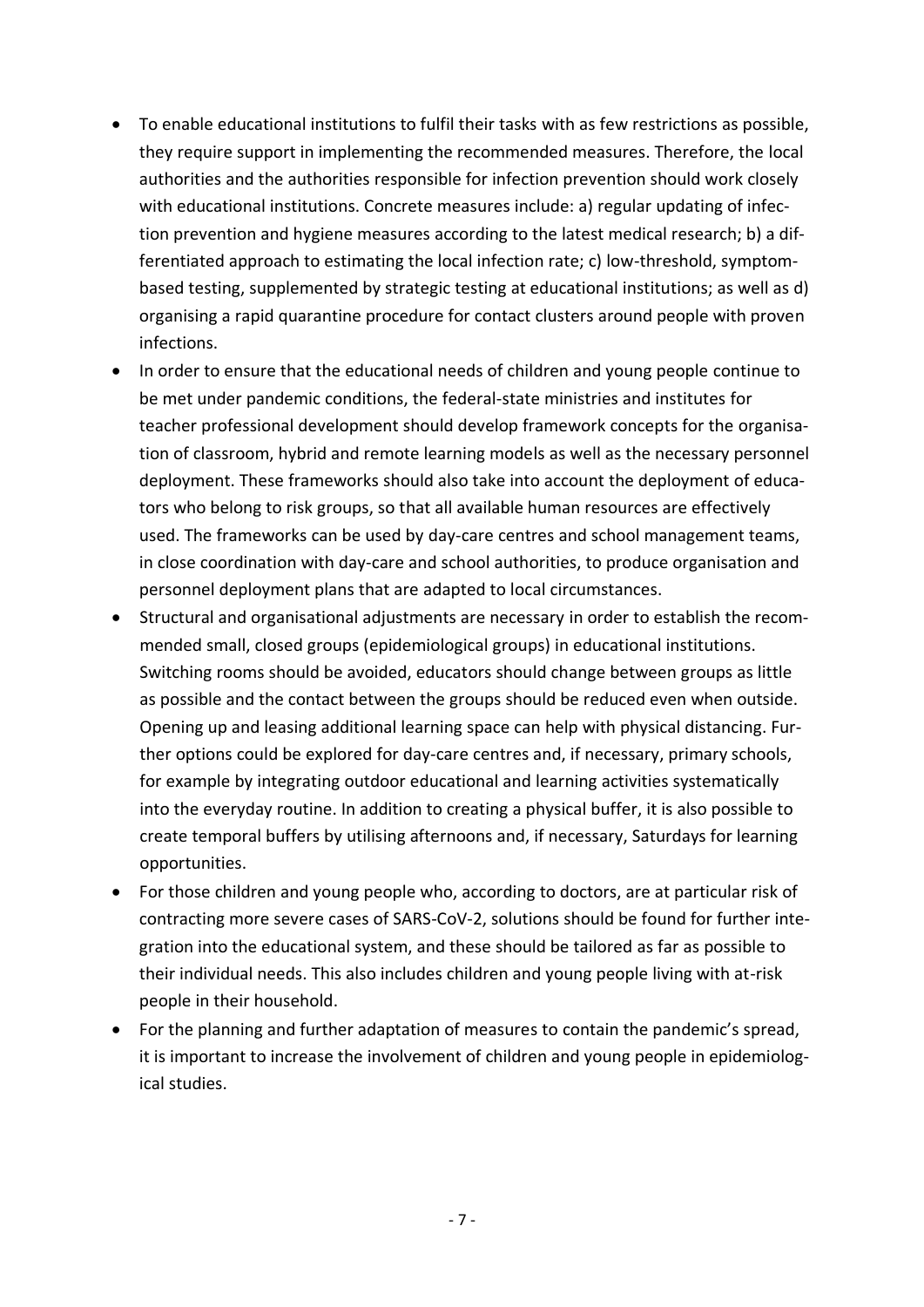- To enable educational institutions to fulfil their tasks with as few restrictions as possible, they require support in implementing the recommended measures. Therefore, the local authorities and the authorities responsible for infection prevention should work closely with educational institutions. Concrete measures include: a) regular updating of infection prevention and hygiene measures according to the latest medical research; b) a differentiated approach to estimating the local infection rate; c) low-threshold, symptombased testing, supplemented by strategic testing at educational institutions; as well as d) organising a rapid quarantine procedure for contact clusters around people with proven infections.
- In order to ensure that the educational needs of children and young people continue to be met under pandemic conditions, the federal-state ministries and institutes for teacher professional development should develop framework concepts for the organisation of classroom, hybrid and remote learning models as well as the necessary personnel deployment. These frameworks should also take into account the deployment of educators who belong to risk groups, so that all available human resources are effectively used. The frameworks can be used by day-care centres and school management teams, in close coordination with day-care and school authorities, to produce organisation and personnel deployment plans that are adapted to local circumstances.
- Structural and organisational adjustments are necessary in order to establish the recommended small, closed groups (epidemiological groups) in educational institutions. Switching rooms should be avoided, educators should change between groups as little as possible and the contact between the groups should be reduced even when outside. Opening up and leasing additional learning space can help with physical distancing. Further options could be explored for day-care centres and, if necessary, primary schools, for example by integrating outdoor educational and learning activities systematically into the everyday routine. In addition to creating a physical buffer, it is also possible to create temporal buffers by utilising afternoons and, if necessary, Saturdays for learning opportunities.
- For those children and young people who, according to doctors, are at particular risk of contracting more severe cases of SARS-CoV-2, solutions should be found for further integration into the educational system, and these should be tailored as far as possible to their individual needs. This also includes children and young people living with at-risk people in their household.
- For the planning and further adaptation of measures to contain the pandemic's spread, it is important to increase the involvement of children and young people in epidemiological studies.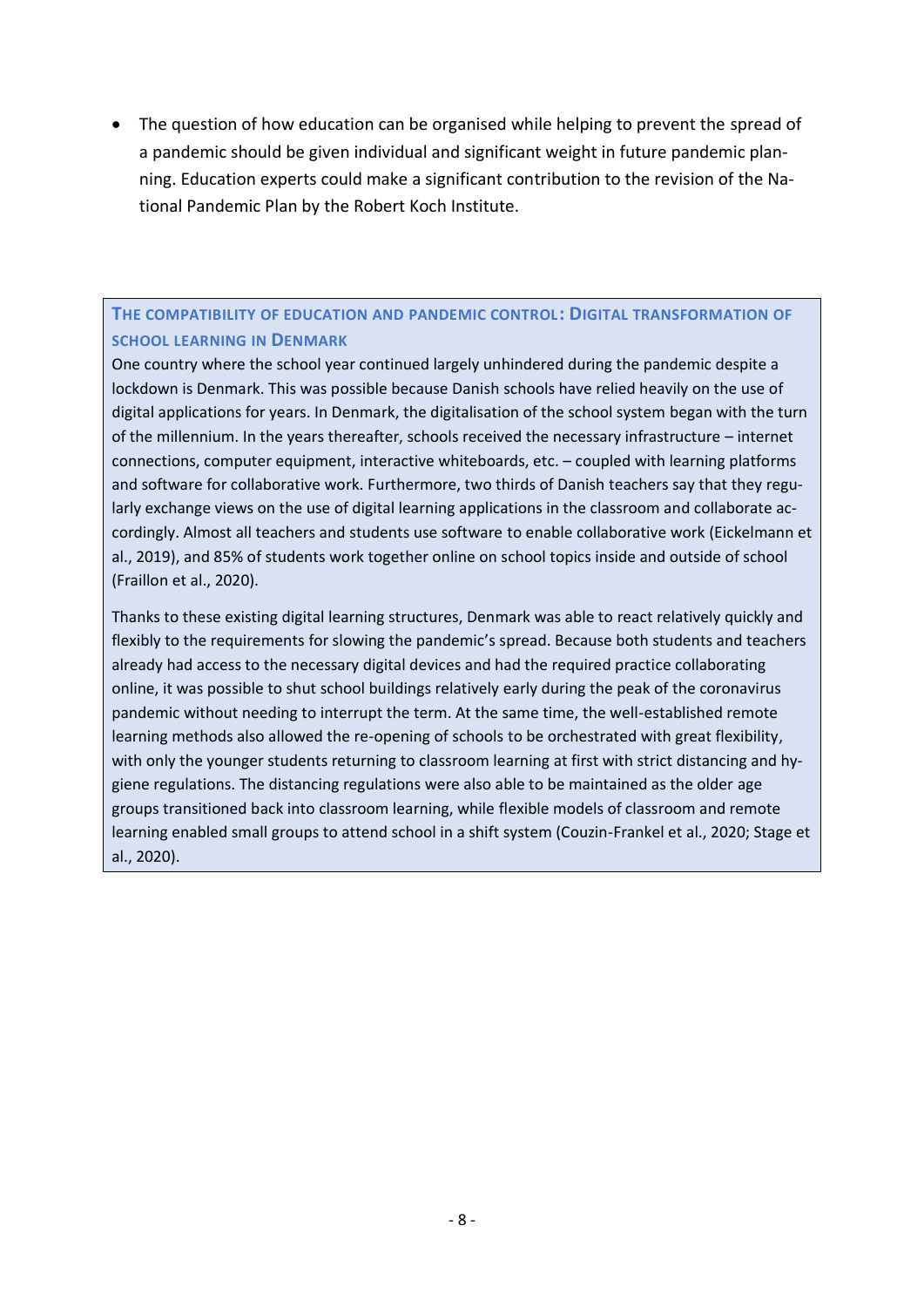• The question of how education can be organised while helping to prevent the spread of a pandemic should be given individual and significant weight in future pandemic planning. Education experts could make a significant contribution to the revision of the National Pandemic Plan by the Robert Koch Institute.

#### **THE COMPATIBILITY OF EDUCATION AND PANDEMIC CONTROL: DIGITAL TRANSFORMATION OF SCHOOL LEARNING IN DENMARK**

One country where the school year continued largely unhindered during the pandemic despite a lockdown is Denmark. This was possible because Danish schools have relied heavily on the use of digital applications for years. In Denmark, the digitalisation of the school system began with the turn of the millennium. In the years thereafter, schools received the necessary infrastructure – internet connections, computer equipment, interactive whiteboards, etc. – coupled with learning platforms and software for collaborative work. Furthermore, two thirds of Danish teachers say that they regularly exchange views on the use of digital learning applications in the classroom and collaborate accordingly. Almost all teachers and students use software to enable collaborative work (Eickelmann et al., 2019), and 85% of students work together online on school topics inside and outside of school (Fraillon et al., 2020).

Thanks to these existing digital learning structures, Denmark was able to react relatively quickly and flexibly to the requirements for slowing the pandemic's spread. Because both students and teachers already had access to the necessary digital devices and had the required practice collaborating online, it was possible to shut school buildings relatively early during the peak of the coronavirus pandemic without needing to interrupt the term. At the same time, the well-established remote learning methods also allowed the re-opening of schools to be orchestrated with great flexibility, with only the younger students returning to classroom learning at first with strict distancing and hygiene regulations. The distancing regulations were also able to be maintained as the older age groups transitioned back into classroom learning, while flexible models of classroom and remote learning enabled small groups to attend school in a shift system (Couzin-Frankel et al., 2020; Stage et al., 2020).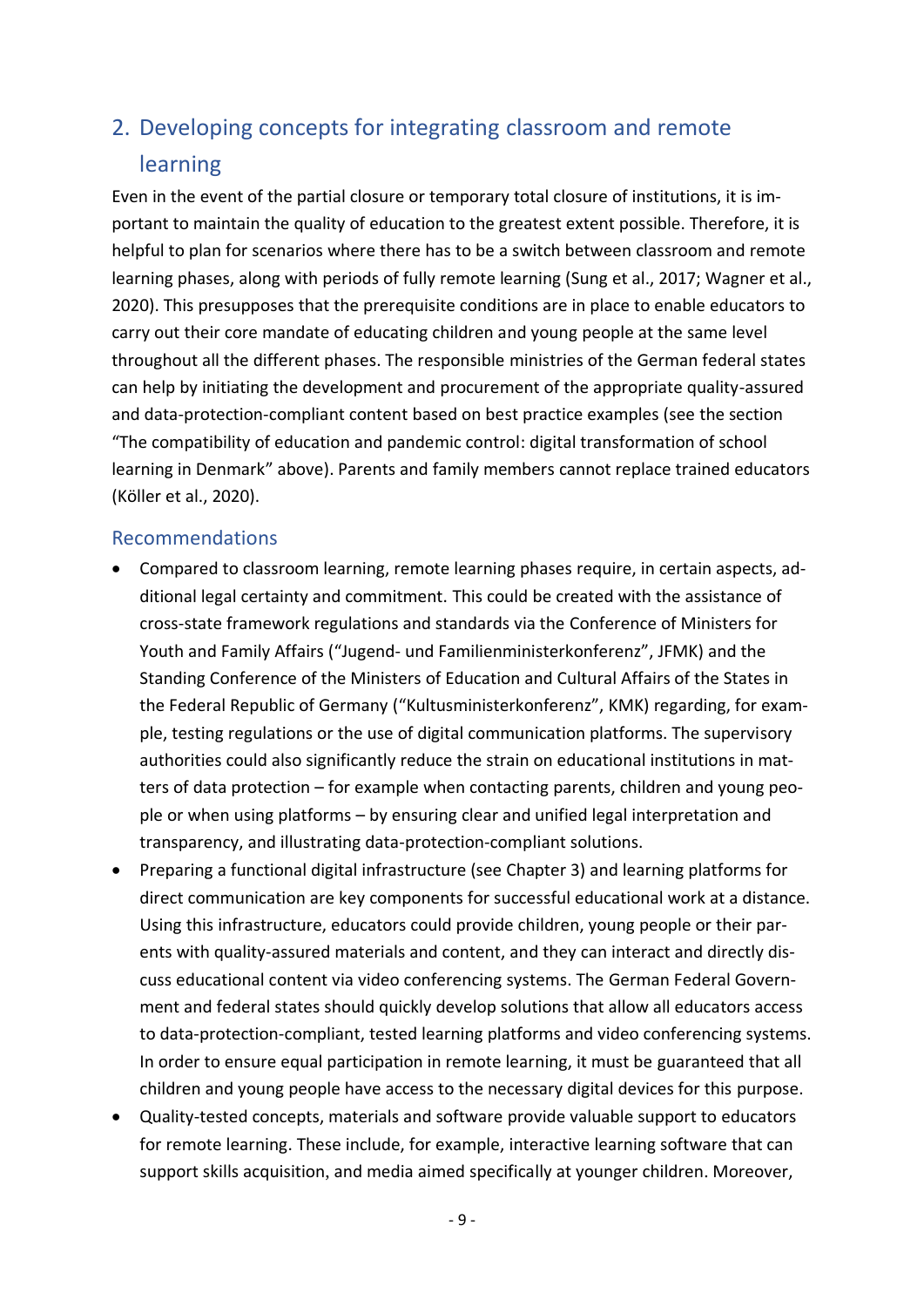# 2. Developing concepts for integrating classroom and remote learning

Even in the event of the partial closure or temporary total closure of institutions, it is important to maintain the quality of education to the greatest extent possible. Therefore, it is helpful to plan for scenarios where there has to be a switch between classroom and remote learning phases, along with periods of fully remote learning (Sung et al., 2017; Wagner et al., 2020). This presupposes that the prerequisite conditions are in place to enable educators to carry out their core mandate of educating children and young people at the same level throughout all the different phases. The responsible ministries of the German federal states can help by initiating the development and procurement of the appropriate quality-assured and data-protection-compliant content based on best practice examples (see the section "The compatibility of education and pandemic control: digital transformation of school learning in Denmark" above). Parents and family members cannot replace trained educators (Köller et al., 2020).

- Compared to classroom learning, remote learning phases require, in certain aspects, additional legal certainty and commitment. This could be created with the assistance of cross-state framework regulations and standards via the Conference of Ministers for Youth and Family Affairs ("Jugend- und Familienministerkonferenz", JFMK) and the Standing Conference of the Ministers of Education and Cultural Affairs of the States in the Federal Republic of Germany ("Kultusministerkonferenz", KMK) regarding, for example, testing regulations or the use of digital communication platforms. The supervisory authorities could also significantly reduce the strain on educational institutions in matters of data protection – for example when contacting parents, children and young people or when using platforms – by ensuring clear and unified legal interpretation and transparency, and illustrating data-protection-compliant solutions.
- Preparing a functional digital infrastructure (see Chapter 3) and learning platforms for direct communication are key components for successful educational work at a distance. Using this infrastructure, educators could provide children, young people or their parents with quality-assured materials and content, and they can interact and directly discuss educational content via video conferencing systems. The German Federal Government and federal states should quickly develop solutions that allow all educators access to data-protection-compliant, tested learning platforms and video conferencing systems. In order to ensure equal participation in remote learning, it must be guaranteed that all children and young people have access to the necessary digital devices for this purpose.
- Quality-tested concepts, materials and software provide valuable support to educators for remote learning. These include, for example, interactive learning software that can support skills acquisition, and media aimed specifically at younger children. Moreover,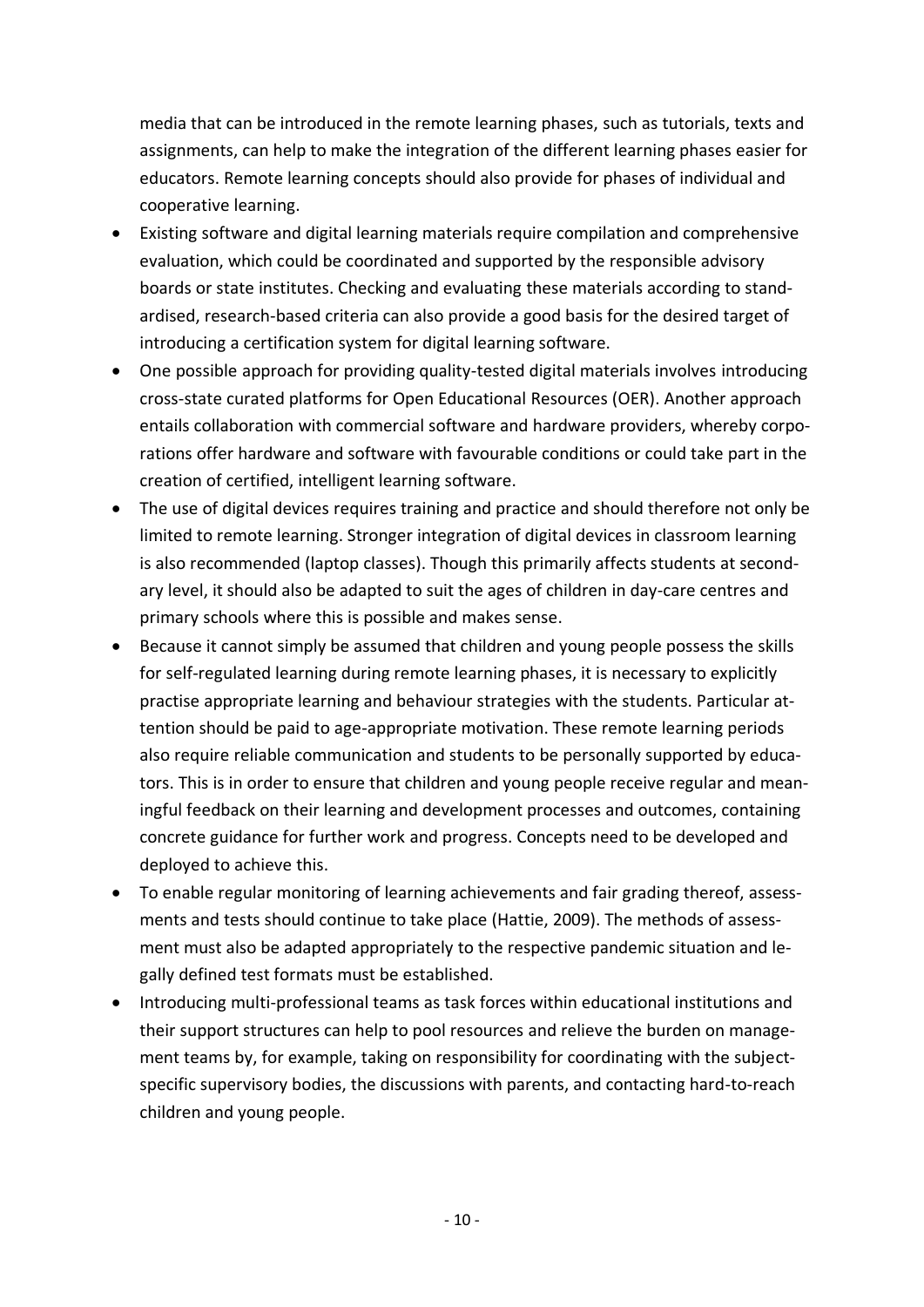media that can be introduced in the remote learning phases, such as tutorials, texts and assignments, can help to make the integration of the different learning phases easier for educators. Remote learning concepts should also provide for phases of individual and cooperative learning.

- Existing software and digital learning materials require compilation and comprehensive evaluation, which could be coordinated and supported by the responsible advisory boards or state institutes. Checking and evaluating these materials according to standardised, research-based criteria can also provide a good basis for the desired target of introducing a certification system for digital learning software.
- One possible approach for providing quality-tested digital materials involves introducing cross-state curated platforms for Open Educational Resources (OER). Another approach entails collaboration with commercial software and hardware providers, whereby corporations offer hardware and software with favourable conditions or could take part in the creation of certified, intelligent learning software.
- The use of digital devices requires training and practice and should therefore not only be limited to remote learning. Stronger integration of digital devices in classroom learning is also recommended (laptop classes). Though this primarily affects students at secondary level, it should also be adapted to suit the ages of children in day-care centres and primary schools where this is possible and makes sense.
- Because it cannot simply be assumed that children and young people possess the skills for self-regulated learning during remote learning phases, it is necessary to explicitly practise appropriate learning and behaviour strategies with the students. Particular attention should be paid to age-appropriate motivation. These remote learning periods also require reliable communication and students to be personally supported by educators. This is in order to ensure that children and young people receive regular and meaningful feedback on their learning and development processes and outcomes, containing concrete guidance for further work and progress. Concepts need to be developed and deployed to achieve this.
- To enable regular monitoring of learning achievements and fair grading thereof, assessments and tests should continue to take place (Hattie, 2009). The methods of assessment must also be adapted appropriately to the respective pandemic situation and legally defined test formats must be established.
- Introducing multi-professional teams as task forces within educational institutions and their support structures can help to pool resources and relieve the burden on management teams by, for example, taking on responsibility for coordinating with the subjectspecific supervisory bodies, the discussions with parents, and contacting hard-to-reach children and young people.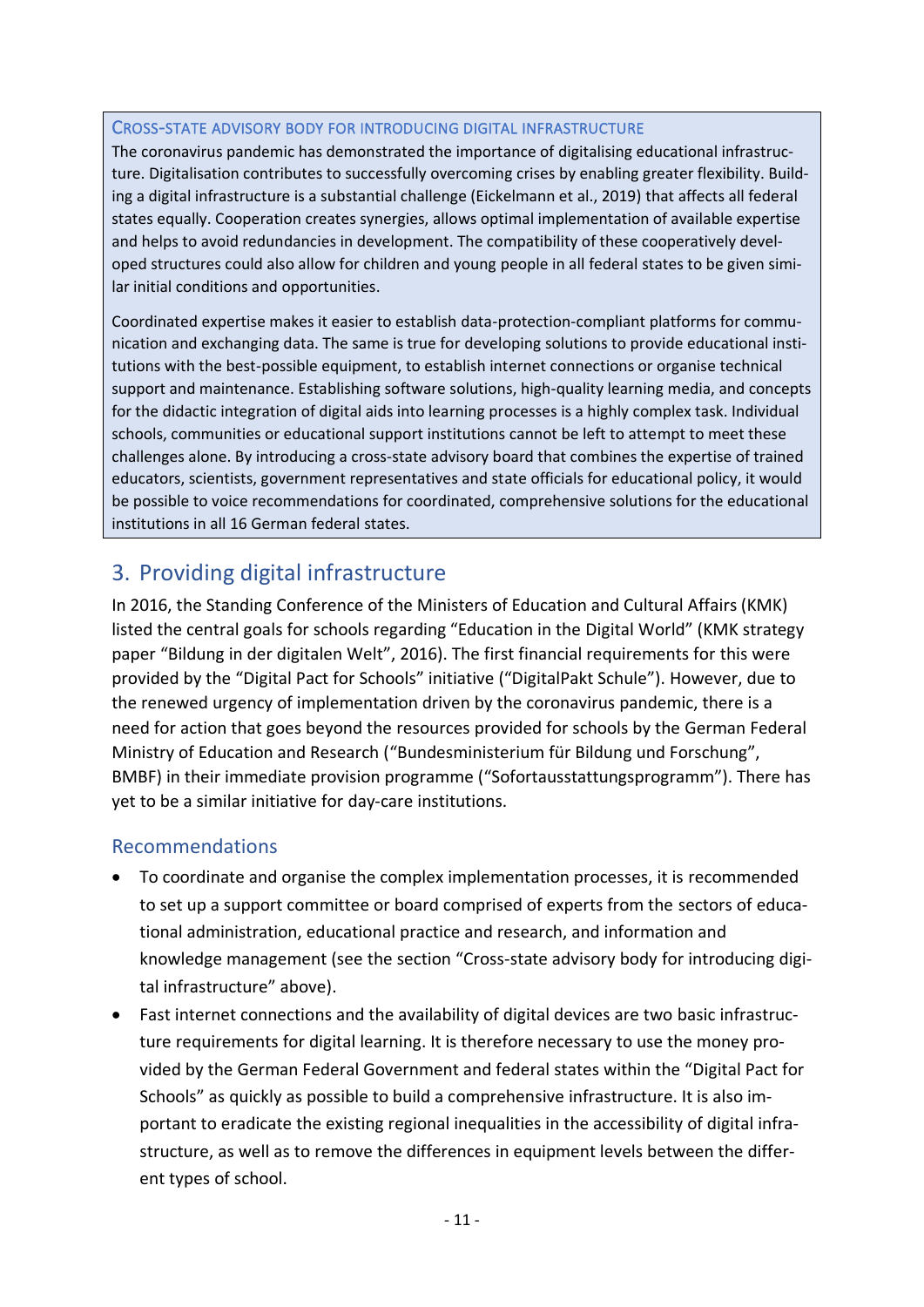#### CROSS-STATE ADVISORY BODY FOR INTRODUCING DIGITAL INFRASTRUCTURE

The coronavirus pandemic has demonstrated the importance of digitalising educational infrastructure. Digitalisation contributes to successfully overcoming crises by enabling greater flexibility. Building a digital infrastructure is a substantial challenge (Eickelmann et al., 2019) that affects all federal states equally. Cooperation creates synergies, allows optimal implementation of available expertise and helps to avoid redundancies in development. The compatibility of these cooperatively developed structures could also allow for children and young people in all federal states to be given similar initial conditions and opportunities.

Coordinated expertise makes it easier to establish data-protection-compliant platforms for communication and exchanging data. The same is true for developing solutions to provide educational institutions with the best-possible equipment, to establish internet connections or organise technical support and maintenance. Establishing software solutions, high-quality learning media, and concepts for the didactic integration of digital aids into learning processes is a highly complex task. Individual schools, communities or educational support institutions cannot be left to attempt to meet these challenges alone. By introducing a cross-state advisory board that combines the expertise of trained educators, scientists, government representatives and state officials for educational policy, it would be possible to voice recommendations for coordinated, comprehensive solutions for the educational institutions in all 16 German federal states.

## 3. Providing digital infrastructure

In 2016, the Standing Conference of the Ministers of Education and Cultural Affairs (KMK) listed the central goals for schools regarding "Education in the Digital World" (KMK strategy paper "Bildung in der digitalen Welt", 2016). The first financial requirements for this were provided by the "Digital Pact for Schools" initiative ("DigitalPakt Schule"). However, due to the renewed urgency of implementation driven by the coronavirus pandemic, there is a need for action that goes beyond the resources provided for schools by the German Federal Ministry of Education and Research ("Bundesministerium für Bildung und Forschung", BMBF) in their immediate provision programme ("Sofortausstattungsprogramm"). There has yet to be a similar initiative for day-care institutions.

- To coordinate and organise the complex implementation processes, it is recommended to set up a support committee or board comprised of experts from the sectors of educational administration, educational practice and research, and information and knowledge management (see the section "Cross-state advisory body for introducing digital infrastructure" above).
- Fast internet connections and the availability of digital devices are two basic infrastructure requirements for digital learning. It is therefore necessary to use the money provided by the German Federal Government and federal states within the "Digital Pact for Schools" as quickly as possible to build a comprehensive infrastructure. It is also important to eradicate the existing regional inequalities in the accessibility of digital infrastructure, as well as to remove the differences in equipment levels between the different types of school.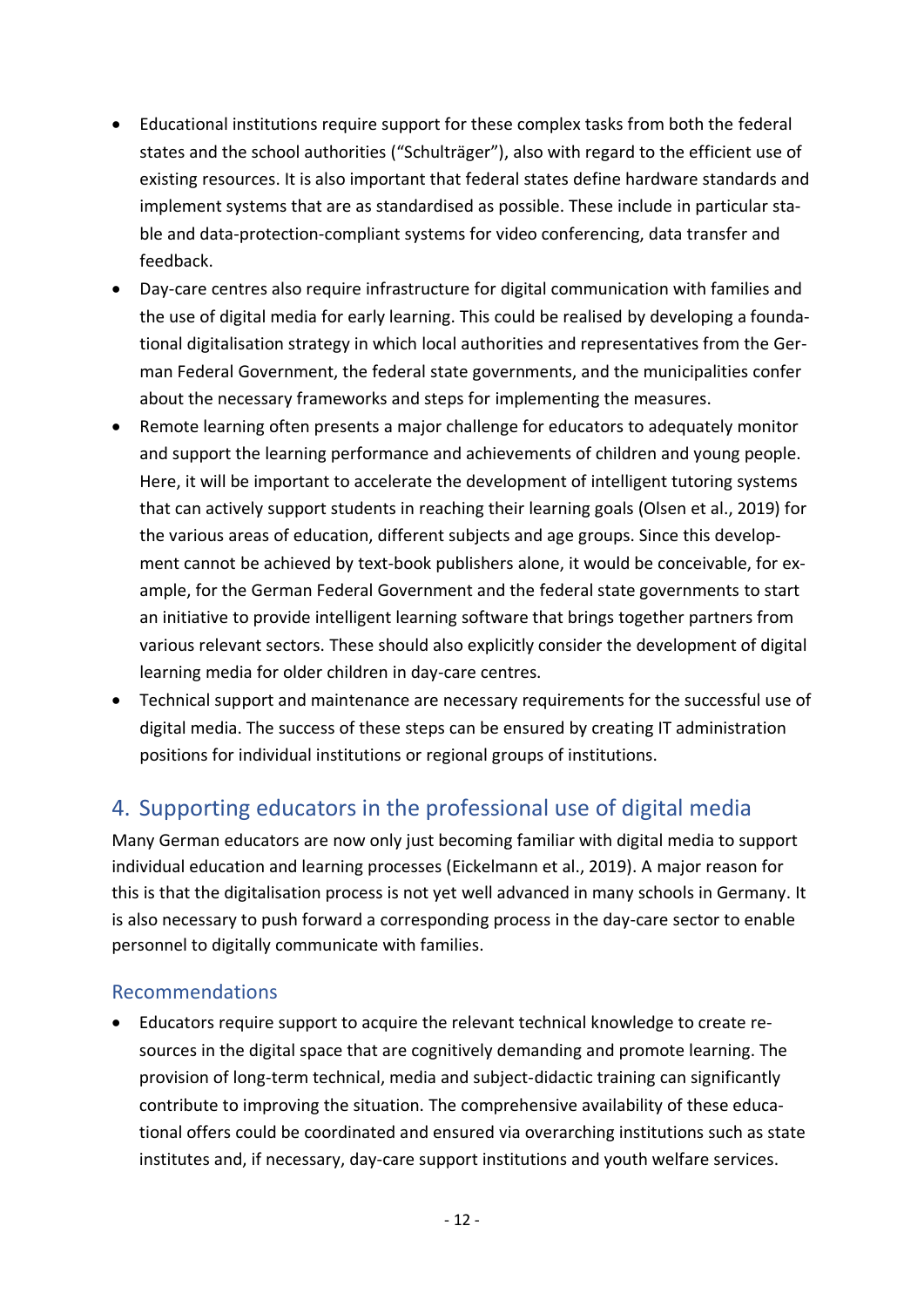- Educational institutions require support for these complex tasks from both the federal states and the school authorities ("Schulträger"), also with regard to the efficient use of existing resources. It is also important that federal states define hardware standards and implement systems that are as standardised as possible. These include in particular stable and data-protection-compliant systems for video conferencing, data transfer and feedback.
- Day-care centres also require infrastructure for digital communication with families and the use of digital media for early learning. This could be realised by developing a foundational digitalisation strategy in which local authorities and representatives from the German Federal Government, the federal state governments, and the municipalities confer about the necessary frameworks and steps for implementing the measures.
- Remote learning often presents a major challenge for educators to adequately monitor and support the learning performance and achievements of children and young people. Here, it will be important to accelerate the development of intelligent tutoring systems that can actively support students in reaching their learning goals (Olsen et al., 2019) for the various areas of education, different subjects and age groups. Since this development cannot be achieved by text-book publishers alone, it would be conceivable, for example, for the German Federal Government and the federal state governments to start an initiative to provide intelligent learning software that brings together partners from various relevant sectors. These should also explicitly consider the development of digital learning media for older children in day-care centres.
- Technical support and maintenance are necessary requirements for the successful use of digital media. The success of these steps can be ensured by creating IT administration positions for individual institutions or regional groups of institutions.

## 4. Supporting educators in the professional use of digital media

Many German educators are now only just becoming familiar with digital media to support individual education and learning processes (Eickelmann et al., 2019). A major reason for this is that the digitalisation process is not yet well advanced in many schools in Germany. It is also necessary to push forward a corresponding process in the day-care sector to enable personnel to digitally communicate with families.

### Recommendations

• Educators require support to acquire the relevant technical knowledge to create resources in the digital space that are cognitively demanding and promote learning. The provision of long-term technical, media and subject-didactic training can significantly contribute to improving the situation. The comprehensive availability of these educational offers could be coordinated and ensured via overarching institutions such as state institutes and, if necessary, day-care support institutions and youth welfare services.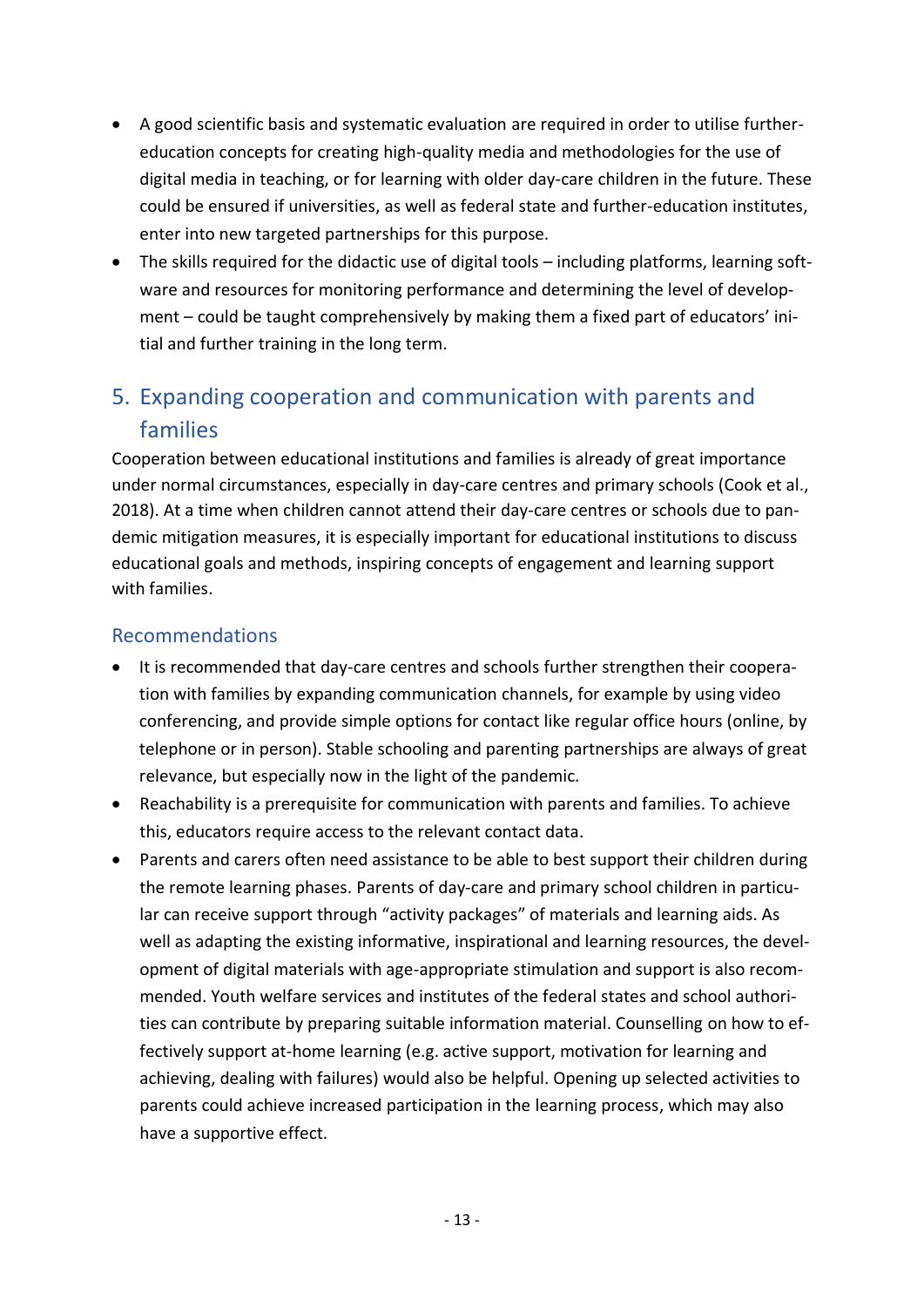- A good scientific basis and systematic evaluation are required in order to utilise furthereducation concepts for creating high-quality media and methodologies for the use of digital media in teaching, or for learning with older day-care children in the future. These could be ensured if universities, as well as federal state and further-education institutes, enter into new targeted partnerships for this purpose.
- The skills required for the didactic use of digital tools including platforms, learning software and resources for monitoring performance and determining the level of development – could be taught comprehensively by making them a fixed part of educators' initial and further training in the long term.

# 5. Expanding cooperation and communication with parents and families

Cooperation between educational institutions and families is already of great importance under normal circumstances, especially in day-care centres and primary schools (Cook et al., 2018). At a time when children cannot attend their day-care centres or schools due to pandemic mitigation measures, it is especially important for educational institutions to discuss educational goals and methods, inspiring concepts of engagement and learning support with families.

- It is recommended that day-care centres and schools further strengthen their cooperation with families by expanding communication channels, for example by using video conferencing, and provide simple options for contact like regular office hours (online, by telephone or in person). Stable schooling and parenting partnerships are always of great relevance, but especially now in the light of the pandemic.
- Reachability is a prerequisite for communication with parents and families. To achieve this, educators require access to the relevant contact data.
- Parents and carers often need assistance to be able to best support their children during the remote learning phases. Parents of day-care and primary school children in particular can receive support through "activity packages" of materials and learning aids. As well as adapting the existing informative, inspirational and learning resources, the development of digital materials with age-appropriate stimulation and support is also recommended. Youth welfare services and institutes of the federal states and school authorities can contribute by preparing suitable information material. Counselling on how to effectively support at-home learning (e.g. active support, motivation for learning and achieving, dealing with failures) would also be helpful. Opening up selected activities to parents could achieve increased participation in the learning process, which may also have a supportive effect.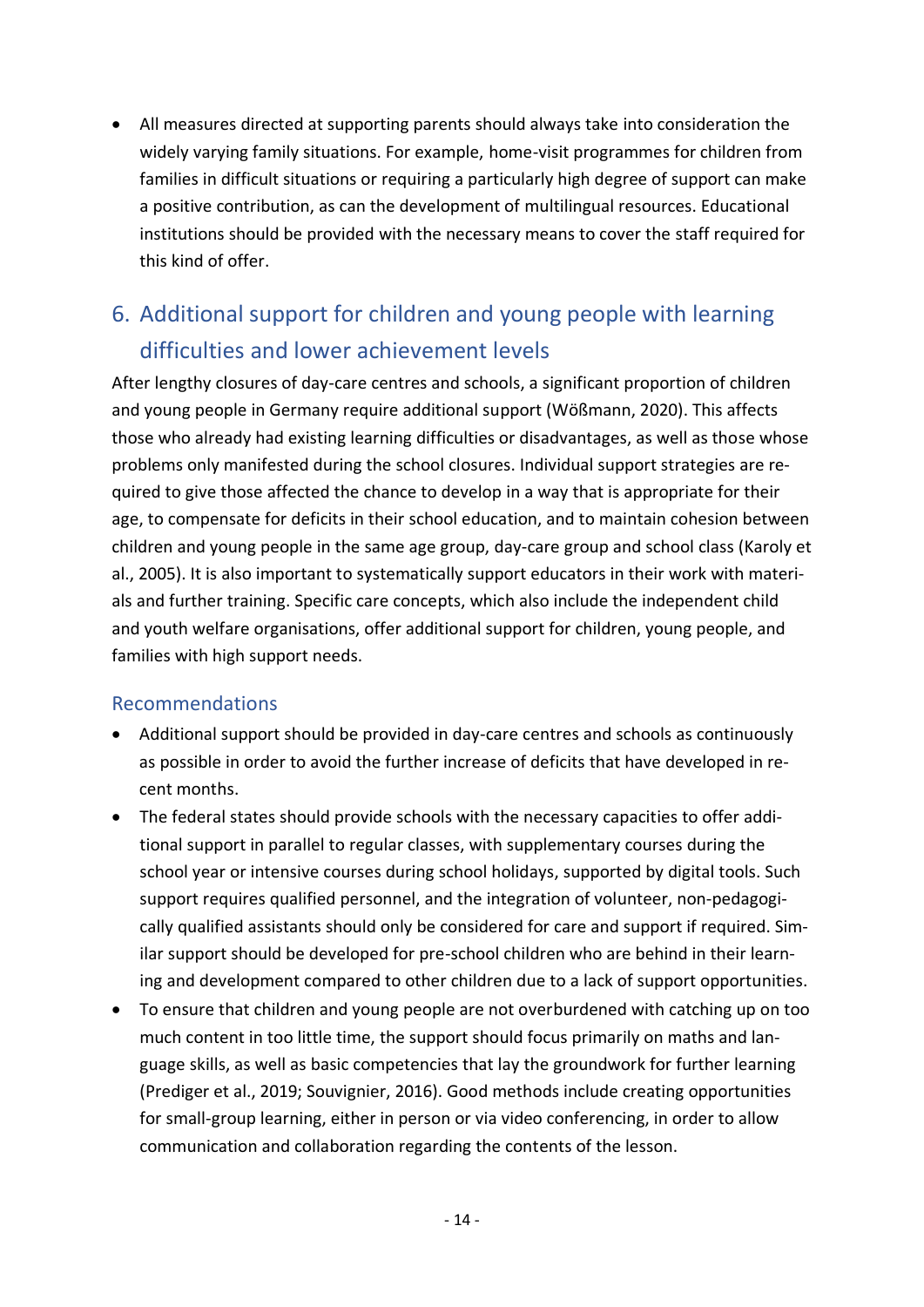• All measures directed at supporting parents should always take into consideration the widely varying family situations. For example, home-visit programmes for children from families in difficult situations or requiring a particularly high degree of support can make a positive contribution, as can the development of multilingual resources. Educational institutions should be provided with the necessary means to cover the staff required for this kind of offer.

# 6. Additional support for children and young people with learning difficulties and lower achievement levels

After lengthy closures of day-care centres and schools, a significant proportion of children and young people in Germany require additional support (Wößmann, 2020). This affects those who already had existing learning difficulties or disadvantages, as well as those whose problems only manifested during the school closures. Individual support strategies are required to give those affected the chance to develop in a way that is appropriate for their age, to compensate for deficits in their school education, and to maintain cohesion between children and young people in the same age group, day-care group and school class (Karoly et al., 2005). It is also important to systematically support educators in their work with materials and further training. Specific care concepts, which also include the independent child and youth welfare organisations, offer additional support for children, young people, and families with high support needs.

- Additional support should be provided in day-care centres and schools as continuously as possible in order to avoid the further increase of deficits that have developed in recent months.
- The federal states should provide schools with the necessary capacities to offer additional support in parallel to regular classes, with supplementary courses during the school year or intensive courses during school holidays, supported by digital tools. Such support requires qualified personnel, and the integration of volunteer, non-pedagogically qualified assistants should only be considered for care and support if required. Similar support should be developed for pre-school children who are behind in their learning and development compared to other children due to a lack of support opportunities.
- To ensure that children and young people are not overburdened with catching up on too much content in too little time, the support should focus primarily on maths and language skills, as well as basic competencies that lay the groundwork for further learning (Prediger et al., 2019; Souvignier, 2016). Good methods include creating opportunities for small-group learning, either in person or via video conferencing, in order to allow communication and collaboration regarding the contents of the lesson.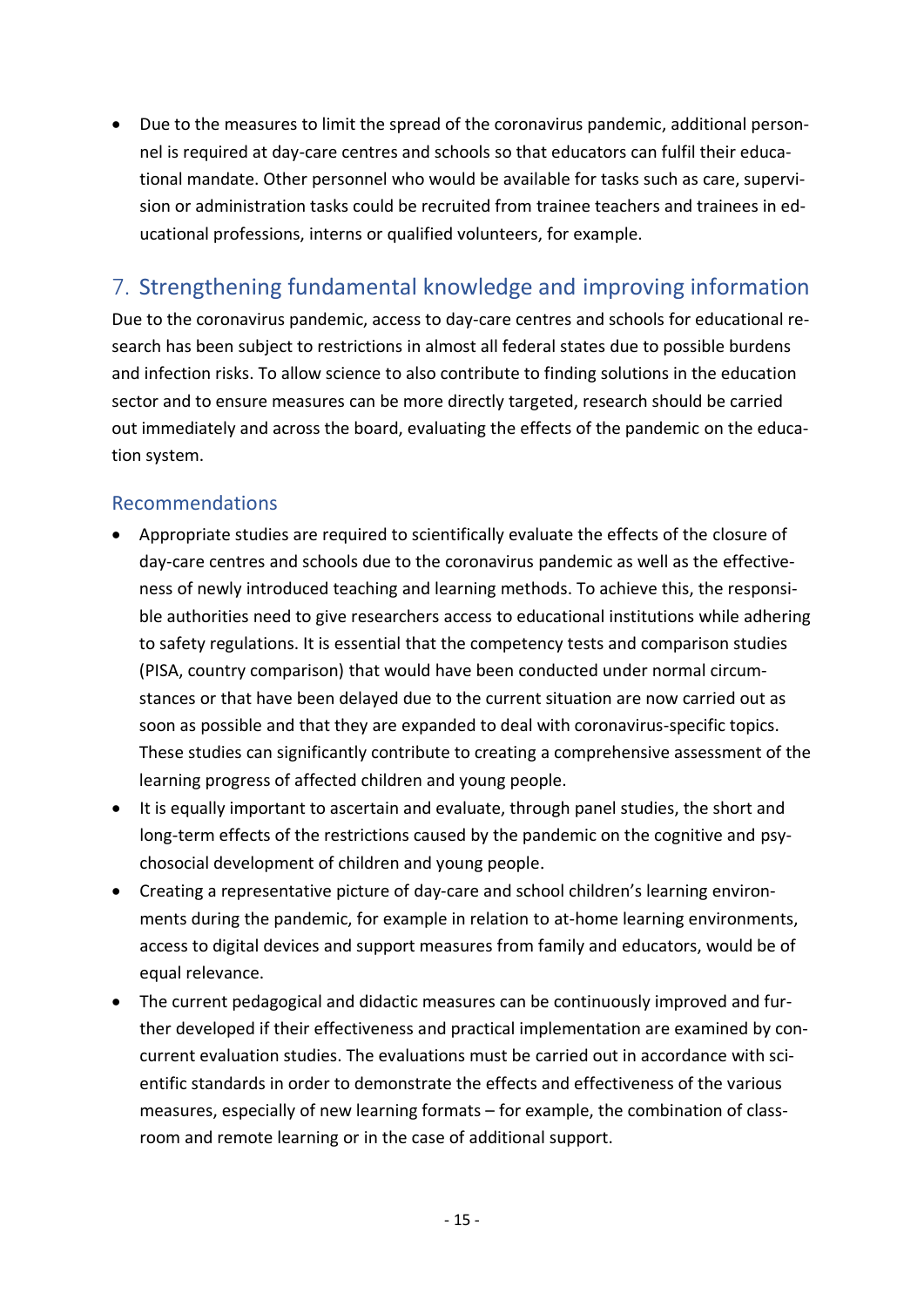• Due to the measures to limit the spread of the coronavirus pandemic, additional personnel is required at day-care centres and schools so that educators can fulfil their educational mandate. Other personnel who would be available for tasks such as care, supervision or administration tasks could be recruited from trainee teachers and trainees in educational professions, interns or qualified volunteers, for example.

# 7. Strengthening fundamental knowledge and improving information

Due to the coronavirus pandemic, access to day-care centres and schools for educational research has been subject to restrictions in almost all federal states due to possible burdens and infection risks. To allow science to also contribute to finding solutions in the education sector and to ensure measures can be more directly targeted, research should be carried out immediately and across the board, evaluating the effects of the pandemic on the education system.

- Appropriate studies are required to scientifically evaluate the effects of the closure of day-care centres and schools due to the coronavirus pandemic as well as the effectiveness of newly introduced teaching and learning methods. To achieve this, the responsible authorities need to give researchers access to educational institutions while adhering to safety regulations. It is essential that the competency tests and comparison studies (PISA, country comparison) that would have been conducted under normal circumstances or that have been delayed due to the current situation are now carried out as soon as possible and that they are expanded to deal with coronavirus-specific topics. These studies can significantly contribute to creating a comprehensive assessment of the learning progress of affected children and young people.
- It is equally important to ascertain and evaluate, through panel studies, the short and long-term effects of the restrictions caused by the pandemic on the cognitive and psychosocial development of children and young people.
- Creating a representative picture of day-care and school children's learning environments during the pandemic, for example in relation to at-home learning environments, access to digital devices and support measures from family and educators, would be of equal relevance.
- The current pedagogical and didactic measures can be continuously improved and further developed if their effectiveness and practical implementation are examined by concurrent evaluation studies. The evaluations must be carried out in accordance with scientific standards in order to demonstrate the effects and effectiveness of the various measures, especially of new learning formats – for example, the combination of classroom and remote learning or in the case of additional support.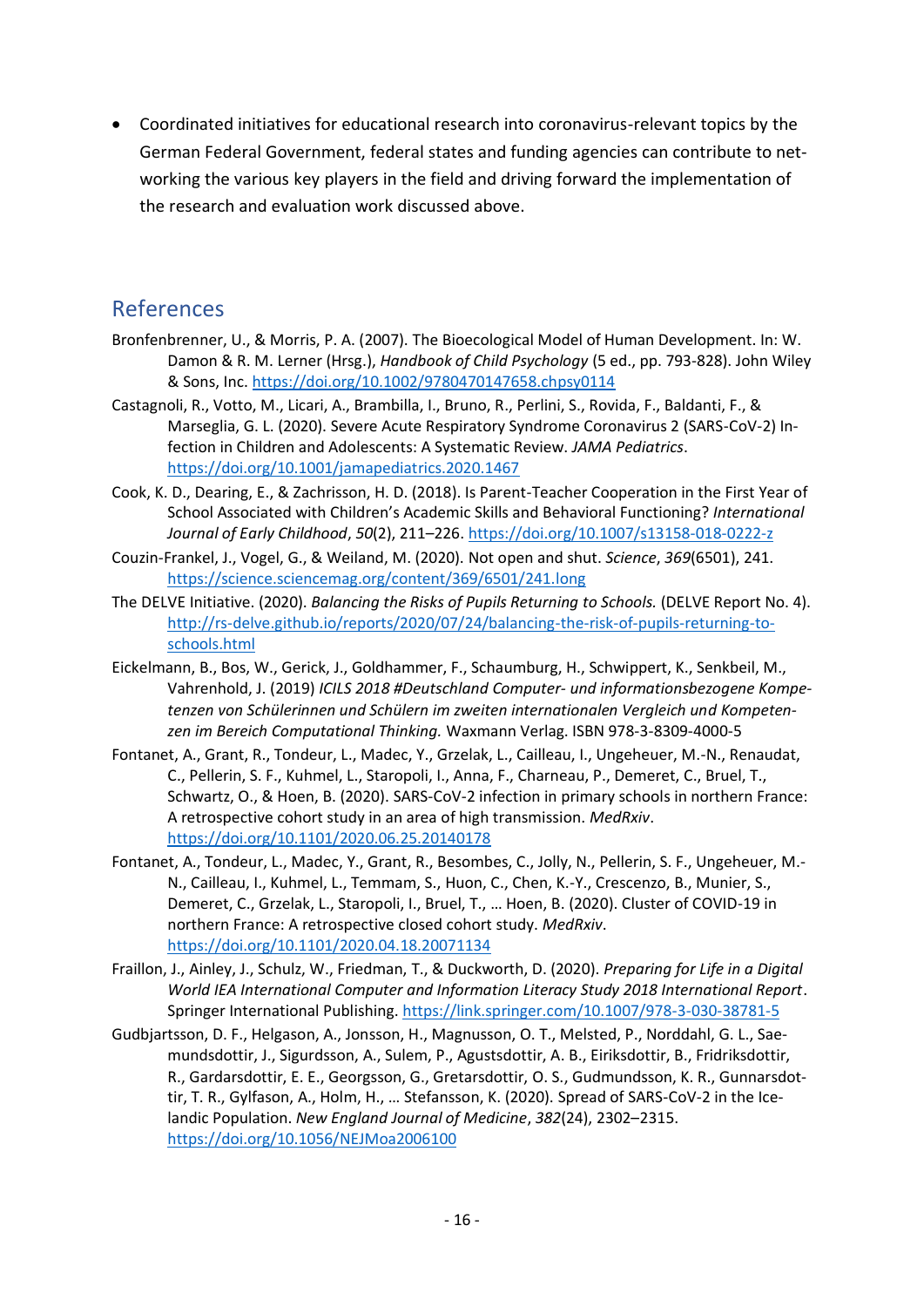• Coordinated initiatives for educational research into coronavirus-relevant topics by the German Federal Government, federal states and funding agencies can contribute to networking the various key players in the field and driving forward the implementation of the research and evaluation work discussed above.

### References

- Bronfenbrenner, U., & Morris, P. A. (2007). The Bioecological Model of Human Development. In: W. Damon & R. M. Lerner (Hrsg.), *Handbook of Child Psychology* (5 ed., pp. 793-828). John Wiley & Sons, Inc[. https://doi.org/10.1002/9780470147658.chpsy0114](https://doi.org/10.1002/9780470147658.chpsy0114)
- Castagnoli, R., Votto, M., Licari, A., Brambilla, I., Bruno, R., Perlini, S., Rovida, F., Baldanti, F., & Marseglia, G. L. (2020). Severe Acute Respiratory Syndrome Coronavirus 2 (SARS-CoV-2) Infection in Children and Adolescents: A Systematic Review. *JAMA Pediatrics*. <https://doi.org/10.1001/jamapediatrics.2020.1467>
- Cook, K. D., Dearing, E., & Zachrisson, H. D. (2018). Is Parent-Teacher Cooperation in the First Year of School Associated with Children's Academic Skills and Behavioral Functioning? *International Journal of Early Childhood*, *50*(2), 211–226.<https://doi.org/10.1007/s13158-018-0222-z>
- Couzin-Frankel, J., Vogel, G., & Weiland, M. (2020). Not open and shut. *Science*, *369*(6501), 241. <https://science.sciencemag.org/content/369/6501/241.long>
- The DELVE Initiative. (2020). *Balancing the Risks of Pupils Returning to Schools.* (DELVE Report No. 4). [http://rs-delve.github.io/reports/2020/07/24/balancing-the-risk-of-pupils-returning-to](http://rs-delve.github.io/reports/2020/07/24/balancing-the-risk-of-pupils-returning-to-schools.html)[schools.html](http://rs-delve.github.io/reports/2020/07/24/balancing-the-risk-of-pupils-returning-to-schools.html)
- Eickelmann, B., Bos, W., Gerick, J., Goldhammer, F., Schaumburg, H., Schwippert, K., Senkbeil, M., Vahrenhold, J. (2019) *ICILS 2018 #Deutschland Computer- und informationsbezogene Kompetenzen von Schülerinnen und Schülern im zweiten internationalen Vergleich und Kompetenzen im Bereich Computational Thinking.* Waxmann Verlag. ISBN 978-3-8309-4000-5
- Fontanet, A., Grant, R., Tondeur, L., Madec, Y., Grzelak, L., Cailleau, I., Ungeheuer, M.-N., Renaudat, C., Pellerin, S. F., Kuhmel, L., Staropoli, I., Anna, F., Charneau, P., Demeret, C., Bruel, T., Schwartz, O., & Hoen, B. (2020). SARS-CoV-2 infection in primary schools in northern France: A retrospective cohort study in an area of high transmission. *MedRxiv*. <https://doi.org/10.1101/2020.06.25.20140178>
- Fontanet, A., Tondeur, L., Madec, Y., Grant, R., Besombes, C., Jolly, N., Pellerin, S. F., Ungeheuer, M.- N., Cailleau, I., Kuhmel, L., Temmam, S., Huon, C., Chen, K.-Y., Crescenzo, B., Munier, S., Demeret, C., Grzelak, L., Staropoli, I., Bruel, T., … Hoen, B. (2020). Cluster of COVID-19 in northern France: A retrospective closed cohort study. *MedRxiv*. <https://doi.org/10.1101/2020.04.18.20071134>
- Fraillon, J., Ainley, J., Schulz, W., Friedman, T., & Duckworth, D. (2020). *Preparing for Life in a Digital World IEA International Computer and Information Literacy Study 2018 International Report*. Springer International Publishing[. https://link.springer.com/10.1007/978-3-030-38781-5](https://link.springer.com/10.1007/978-3-030-38781-5)
- Gudbjartsson, D. F., Helgason, A., Jonsson, H., Magnusson, O. T., Melsted, P., Norddahl, G. L., Saemundsdottir, J., Sigurdsson, A., Sulem, P., Agustsdottir, A. B., Eiriksdottir, B., Fridriksdottir, R., Gardarsdottir, E. E., Georgsson, G., Gretarsdottir, O. S., Gudmundsson, K. R., Gunnarsdottir, T. R., Gylfason, A., Holm, H., … Stefansson, K. (2020). Spread of SARS-CoV-2 in the Icelandic Population. *New England Journal of Medicine*, *382*(24), 2302–2315. <https://doi.org/10.1056/NEJMoa2006100>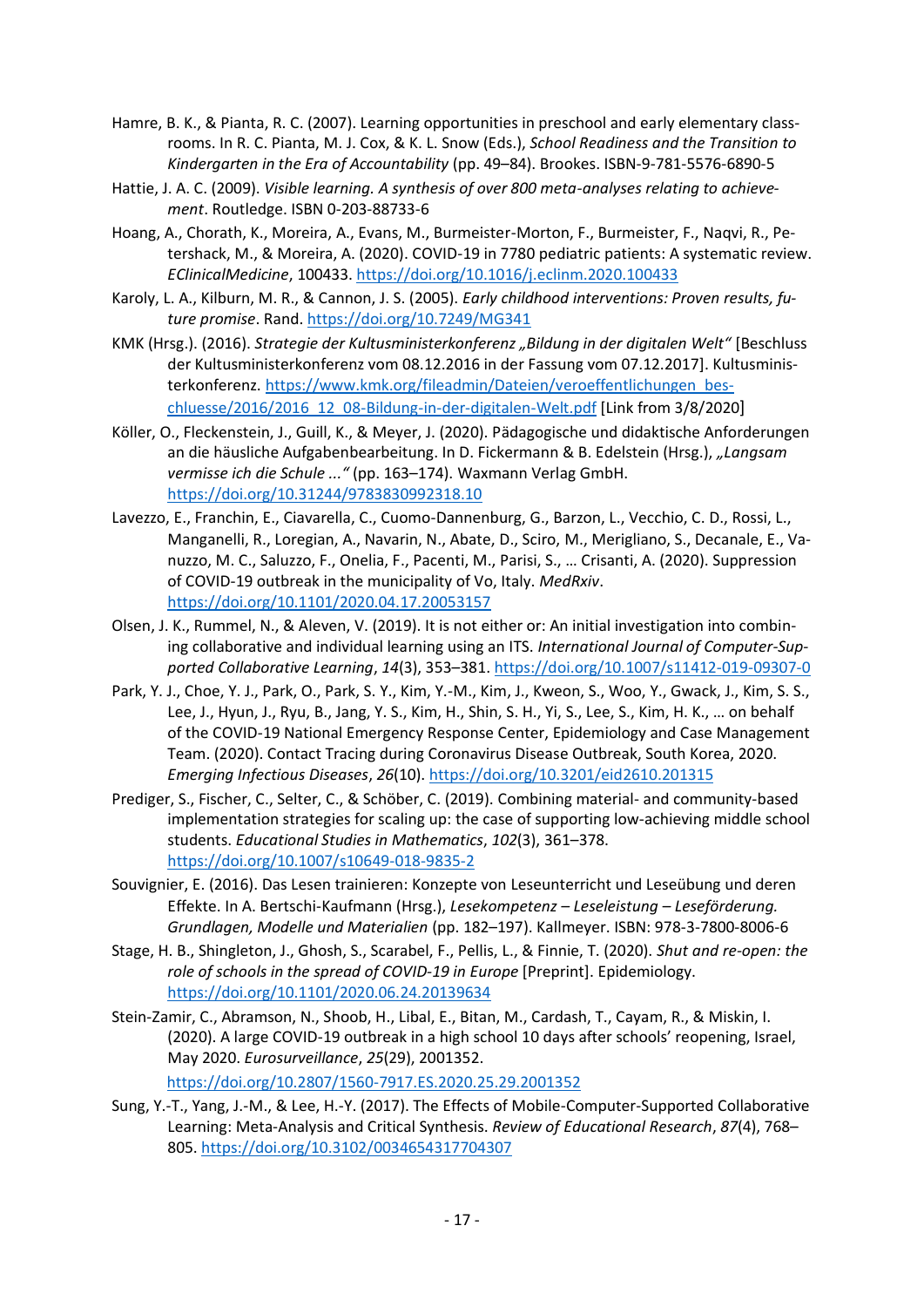- Hamre, B. K., & Pianta, R. C. (2007). Learning opportunities in preschool and early elementary classrooms. In R. C. Pianta, M. J. Cox, & K. L. Snow (Eds.), *School Readiness and the Transition to Kindergarten in the Era of Accountability* (pp. 49–84). Brookes. ISBN-9-781-5576-6890-5
- Hattie, J. A. C. (2009). *Visible learning. A synthesis of over 800 meta-analyses relating to achievement*. Routledge. ISBN 0-203-88733-6
- Hoang, A., Chorath, K., Moreira, A., Evans, M., Burmeister-Morton, F., Burmeister, F., Naqvi, R., Petershack, M., & Moreira, A. (2020). COVID-19 in 7780 pediatric patients: A systematic review. *EClinicalMedicine*, 100433.<https://doi.org/10.1016/j.eclinm.2020.100433>
- Karoly, L. A., Kilburn, M. R., & Cannon, J. S. (2005). *Early childhood interventions: Proven results, future promise*. Rand. <https://doi.org/10.7249/MG341>
- KMK (Hrsg.). (2016). *Strategie der Kultusministerkonferenz "Bildung in der digitalen Welt"* [Beschluss der Kultusministerkonferenz vom 08.12.2016 in der Fassung vom 07.12.2017]. Kultusministerkonferenz. [https://www.kmk.org/fileadmin/Dateien/veroeffentlichungen\\_bes](https://www.kmk.org/fileadmin/Dateien/veroeffentlichungen_beschluesse/2016/2016_12_08-Bildung-in-der-digitalen-Welt.pdf)[chluesse/2016/2016\\_12\\_08-Bildung-in-der-digitalen-Welt.pdf](https://www.kmk.org/fileadmin/Dateien/veroeffentlichungen_beschluesse/2016/2016_12_08-Bildung-in-der-digitalen-Welt.pdf) [Link from 3/8/2020]
- Köller, O., Fleckenstein, J., Guill, K., & Meyer, J. (2020). Pädagogische und didaktische Anforderungen an die häusliche Aufgabenbearbeitung. In D. Fickermann & B. Edelstein (Hrsg.), *"Langsam vermisse ich die Schule ..."* (pp. 163–174). Waxmann Verlag GmbH. <https://doi.org/10.31244/9783830992318.10>
- Lavezzo, E., Franchin, E., Ciavarella, C., Cuomo-Dannenburg, G., Barzon, L., Vecchio, C. D., Rossi, L., Manganelli, R., Loregian, A., Navarin, N., Abate, D., Sciro, M., Merigliano, S., Decanale, E., Vanuzzo, M. C., Saluzzo, F., Onelia, F., Pacenti, M., Parisi, S., … Crisanti, A. (2020). Suppression of COVID-19 outbreak in the municipality of Vo, Italy. *MedRxiv*. <https://doi.org/10.1101/2020.04.17.20053157>
- Olsen, J. K., Rummel, N., & Aleven, V. (2019). It is not either or: An initial investigation into combining collaborative and individual learning using an ITS. *International Journal of Computer-Supported Collaborative Learning*, *14*(3), 353–381[. https://doi.org/10.1007/s11412-019-09307-0](https://doi.org/10.1007/s11412-019-09307-0)
- Park, Y. J., Choe, Y. J., Park, O., Park, S. Y., Kim, Y.-M., Kim, J., Kweon, S., Woo, Y., Gwack, J., Kim, S. S., Lee, J., Hyun, J., Ryu, B., Jang, Y. S., Kim, H., Shin, S. H., Yi, S., Lee, S., Kim, H. K., … on behalf of the COVID-19 National Emergency Response Center, Epidemiology and Case Management Team. (2020). Contact Tracing during Coronavirus Disease Outbreak, South Korea, 2020. *Emerging Infectious Diseases*, *26*(10)[. https://doi.org/10.3201/eid2610.201315](https://doi.org/10.3201/eid2610.201315)
- Prediger, S., Fischer, C., Selter, C., & Schöber, C. (2019). Combining material- and community-based implementation strategies for scaling up: the case of supporting low-achieving middle school students. *Educational Studies in Mathematics*, *102*(3), 361–378. <https://doi.org/10.1007/s10649-018-9835-2>
- Souvignier, E. (2016). Das Lesen trainieren: Konzepte von Leseunterricht und Leseübung und deren Effekte. In A. Bertschi-Kaufmann (Hrsg.), *Lesekompetenz – Leseleistung – Leseförderung. Grundlagen, Modelle und Materialien* (pp. 182–197). Kallmeyer. ISBN: 978-3-7800-8006-6
- Stage, H. B., Shingleton, J., Ghosh, S., Scarabel, F., Pellis, L., & Finnie, T. (2020). *Shut and re-open: the role of schools in the spread of COVID-19 in Europe* [Preprint]. Epidemiology. <https://doi.org/10.1101/2020.06.24.20139634>
- Stein-Zamir, C., Abramson, N., Shoob, H., Libal, E., Bitan, M., Cardash, T., Cayam, R., & Miskin, I. (2020). A large COVID-19 outbreak in a high school 10 days after schools' reopening, Israel, May 2020. *Eurosurveillance*, *25*(29), 2001352. <https://doi.org/10.2807/1560-7917.ES.2020.25.29.2001352>
- Sung, Y.-T., Yang, J.-M., & Lee, H.-Y. (2017). The Effects of Mobile-Computer-Supported Collaborative Learning: Meta-Analysis and Critical Synthesis. *Review of Educational Research*, *87*(4), 768– 805.<https://doi.org/10.3102/0034654317704307>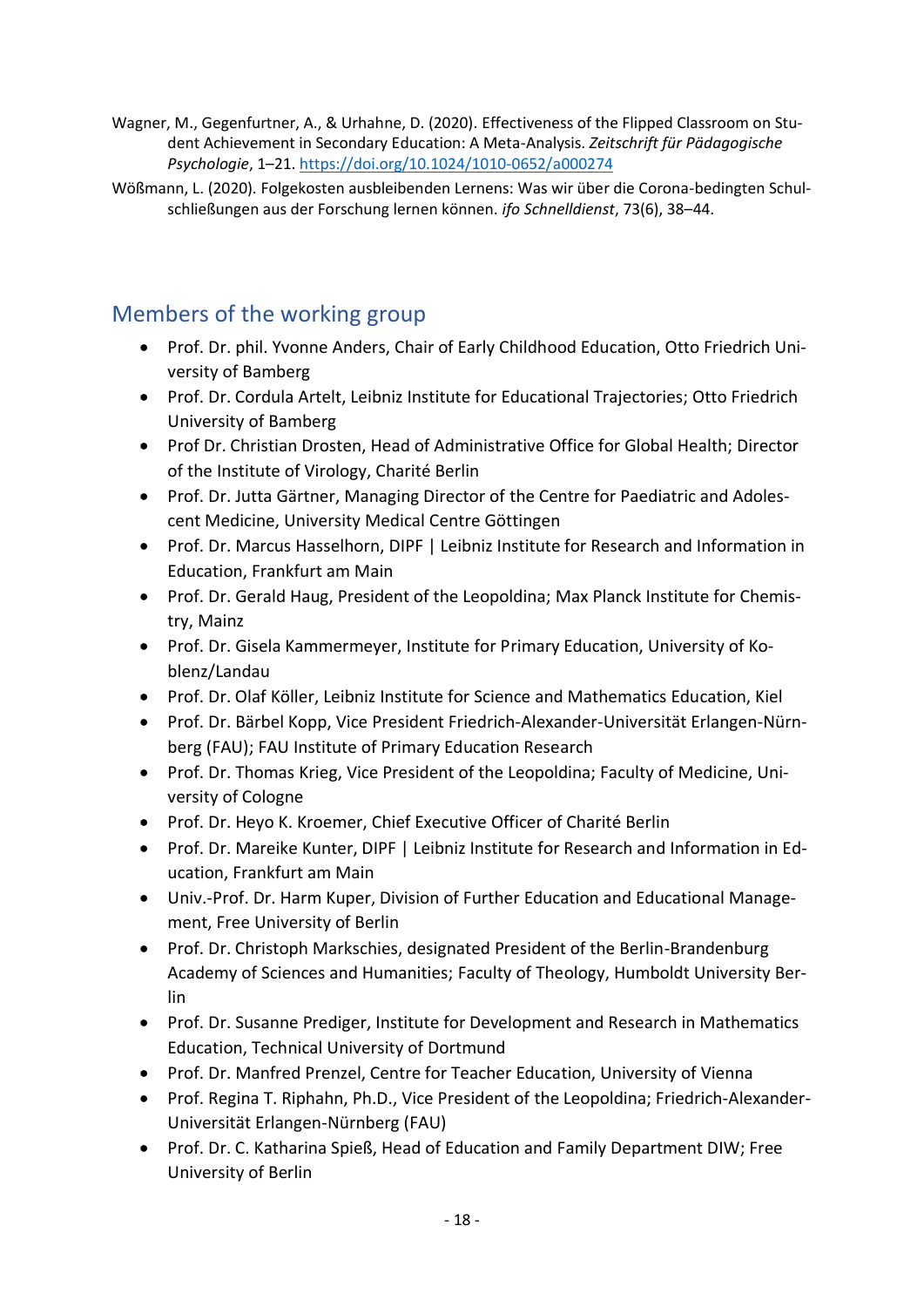- Wagner, M., Gegenfurtner, A., & Urhahne, D. (2020). Effectiveness of the Flipped Classroom on Student Achievement in Secondary Education: A Meta-Analysis. *Zeitschrift für Pädagogische Psychologie*, 1–21.<https://doi.org/10.1024/1010-0652/a000274>
- Wößmann, L. (2020). Folgekosten ausbleibenden Lernens: Was wir über die Corona-bedingten Schulschließungen aus der Forschung lernen können. *ifo Schnelldienst*, 73(6), 38–44.

# Members of the working group

- Prof. Dr. phil. Yvonne Anders, Chair of Early Childhood Education, Otto Friedrich University of Bamberg
- Prof. Dr. Cordula Artelt, Leibniz Institute for Educational Trajectories; Otto Friedrich University of Bamberg
- Prof Dr. Christian Drosten, Head of Administrative Office for Global Health; Director of the Institute of Virology, Charité Berlin
- Prof. Dr. Jutta Gärtner, Managing Director of the Centre for Paediatric and Adolescent Medicine, University Medical Centre Göttingen
- Prof. Dr. Marcus Hasselhorn, DIPF | Leibniz Institute for Research and Information in Education, Frankfurt am Main
- Prof. Dr. Gerald Haug, President of the Leopoldina; Max Planck Institute for Chemistry, Mainz
- Prof. Dr. Gisela Kammermeyer, Institute for Primary Education, University of Koblenz/Landau
- Prof. Dr. Olaf Köller, Leibniz Institute for Science and Mathematics Education, Kiel
- Prof. Dr. Bärbel Kopp, Vice President Friedrich-Alexander-Universität Erlangen-Nürnberg (FAU); FAU Institute of Primary Education Research
- Prof. Dr. Thomas Krieg, Vice President of the Leopoldina; Faculty of Medicine, University of Cologne
- Prof. Dr. Heyo K. Kroemer, Chief Executive Officer of Charité Berlin
- Prof. Dr. Mareike Kunter, DIPF | Leibniz Institute for Research and Information in Education, Frankfurt am Main
- Univ.-Prof. Dr. Harm Kuper, Division of Further Education and Educational Management, Free University of Berlin
- Prof. Dr. Christoph Markschies, designated President of the Berlin-Brandenburg Academy of Sciences and Humanities; Faculty of Theology, Humboldt University Berlin
- Prof. Dr. Susanne Prediger, Institute for Development and Research in Mathematics Education, Technical University of Dortmund
- Prof. Dr. Manfred Prenzel, Centre for Teacher Education, University of Vienna
- Prof. Regina T. Riphahn, Ph.D., Vice President of the Leopoldina; Friedrich-Alexander-Universität Erlangen-Nürnberg (FAU)
- Prof. Dr. C. Katharina Spieß, Head of Education and Family Department DIW; Free University of Berlin